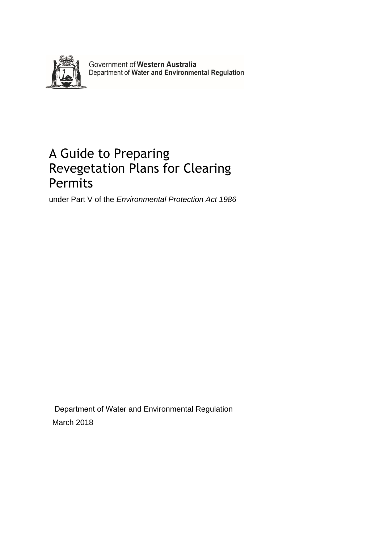

Government of Western Australia<br>Department of Water and Environmental Regulation

# A Guide to Preparing Revegetation Plans for Clearing Permits

under Part V of the *Environmental Protection Act 1986* 

Department of Water and Environmental Regulation March 2018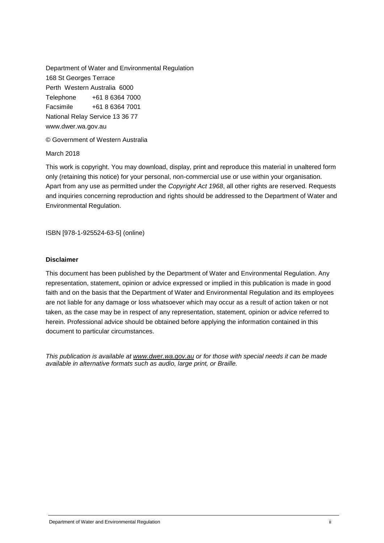Department of Water and Environmental Regulation 168 St Georges Terrace Perth Western Australia 6000 Telephone +61 8 6364 7000 Facsimile +61 8 6364 7001 National Relay Service 13 36 77 www.dwer.wa.gov.au

#### © Government of Western Australia

March 2018

This work is copyright. You may download, display, print and reproduce this material in unaltered form only (retaining this notice) for your personal, non-commercial use or use within your organisation. Apart from any use as permitted under the *Copyright Act 1968*, all other rights are reserved. Requests and inquiries concerning reproduction and rights should be addressed to the Department of Water and Environmental Regulation.

ISBN [978-1-925524-63-5] (online)

#### **Disclaimer**

This document has been published by the Department of Water and Environmental Regulation. Any representation, statement, opinion or advice expressed or implied in this publication is made in good faith and on the basis that the Department of Water and Environmental Regulation and its employees are not liable for any damage or loss whatsoever which may occur as a result of action taken or not taken, as the case may be in respect of any representation, statement, opinion or advice referred to herein. Professional advice should be obtained before applying the information contained in this document to particular circumstances.

*This publication is available at [www.dwer.wa.gov.au](http://www.dwer.wa.gov.au/) or for those with special needs it can be made available in alternative formats such as audio, large print, or Braille.*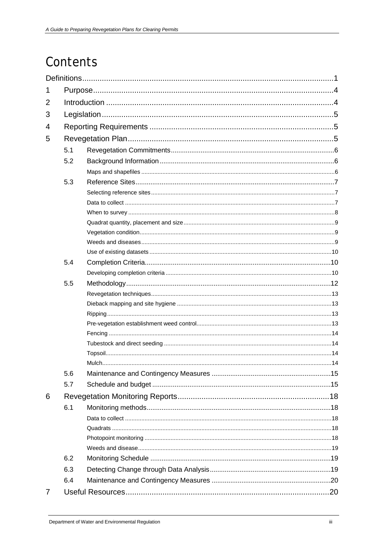# Contents

| 1              |     |  |  |  |  |  |  |  |
|----------------|-----|--|--|--|--|--|--|--|
| $\overline{2}$ |     |  |  |  |  |  |  |  |
| 3              |     |  |  |  |  |  |  |  |
| 4              |     |  |  |  |  |  |  |  |
| 5              |     |  |  |  |  |  |  |  |
|                | 5.1 |  |  |  |  |  |  |  |
|                |     |  |  |  |  |  |  |  |
|                | 5.2 |  |  |  |  |  |  |  |
|                |     |  |  |  |  |  |  |  |
|                | 5.3 |  |  |  |  |  |  |  |
|                |     |  |  |  |  |  |  |  |
|                |     |  |  |  |  |  |  |  |
|                |     |  |  |  |  |  |  |  |
|                |     |  |  |  |  |  |  |  |
|                |     |  |  |  |  |  |  |  |
|                |     |  |  |  |  |  |  |  |
|                | 5.4 |  |  |  |  |  |  |  |
|                |     |  |  |  |  |  |  |  |
|                | 5.5 |  |  |  |  |  |  |  |
|                |     |  |  |  |  |  |  |  |
|                |     |  |  |  |  |  |  |  |
|                |     |  |  |  |  |  |  |  |
|                |     |  |  |  |  |  |  |  |
|                |     |  |  |  |  |  |  |  |
|                |     |  |  |  |  |  |  |  |
|                |     |  |  |  |  |  |  |  |
|                |     |  |  |  |  |  |  |  |
|                | 5.6 |  |  |  |  |  |  |  |
|                | 5.7 |  |  |  |  |  |  |  |
| 6              |     |  |  |  |  |  |  |  |
|                | 6.1 |  |  |  |  |  |  |  |
|                |     |  |  |  |  |  |  |  |
|                |     |  |  |  |  |  |  |  |
|                |     |  |  |  |  |  |  |  |
|                |     |  |  |  |  |  |  |  |
|                | 6.2 |  |  |  |  |  |  |  |
|                | 6.3 |  |  |  |  |  |  |  |
|                | 6.4 |  |  |  |  |  |  |  |
| 7              |     |  |  |  |  |  |  |  |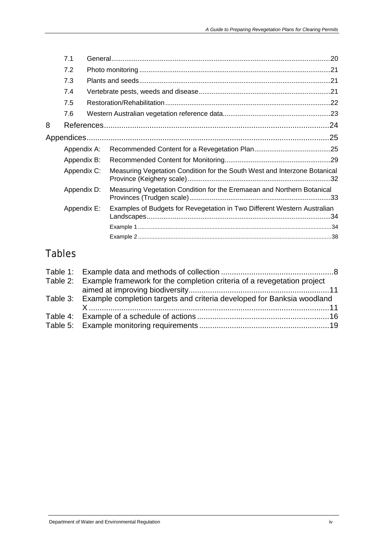|   | 7.1         |                                                                           |  |
|---|-------------|---------------------------------------------------------------------------|--|
|   | 7.2         |                                                                           |  |
|   | 7.3         |                                                                           |  |
|   | 7.4         |                                                                           |  |
|   | 7.5         |                                                                           |  |
|   | 7.6         |                                                                           |  |
| 8 |             |                                                                           |  |
|   |             |                                                                           |  |
|   | Appendix A: |                                                                           |  |
|   | Appendix B: |                                                                           |  |
|   | Appendix C: | Measuring Vegetation Condition for the South West and Interzone Botanical |  |
|   | Appendix D: | Measuring Vegetation Condition for the Eremaean and Northern Botanical    |  |
|   | Appendix E: | Examples of Budgets for Revegetation in Two Different Western Australian  |  |
|   |             |                                                                           |  |
|   |             |                                                                           |  |

# Tables

| Table 2: Example framework for the completion criteria of a revegetation project |  |
|----------------------------------------------------------------------------------|--|
|                                                                                  |  |
| Table 3: Example completion targets and criteria developed for Banksia woodland  |  |
|                                                                                  |  |
|                                                                                  |  |
|                                                                                  |  |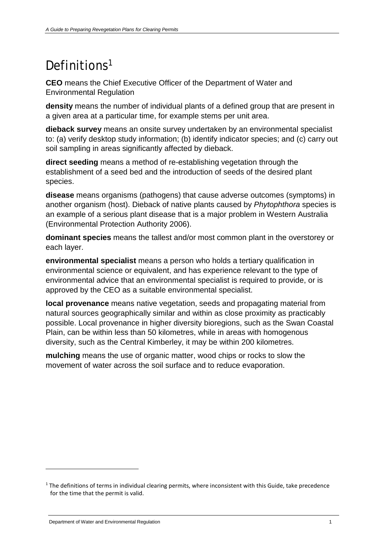# <span id="page-4-0"></span>Definitions<sup>[1](#page-4-1)</sup>

**CEO** means the Chief Executive Officer of the Department of Water and Environmental Regulation

**density** means the number of individual plants of a defined group that are present in a given area at a particular time, for example stems per unit area.

**dieback survey** means an onsite survey undertaken by an environmental specialist to: (a) verify desktop study information; (b) identify indicator species; and (c) carry out soil sampling in areas significantly affected by dieback.

**direct seeding** means a method of re-establishing vegetation through the establishment of a seed bed and the introduction of seeds of the desired plant species.

**disease** means organisms (pathogens) that cause adverse outcomes (symptoms) in another organism (host). Dieback of native plants caused by *Phytophthora* species is an example of a serious plant disease that is a major problem in Western Australia (Environmental Protection Authority 2006).

**dominant species** means the tallest and/or most common plant in the overstorey or each layer.

**environmental specialist** means a person who holds a tertiary qualification in environmental science or equivalent, and has experience relevant to the type of environmental advice that an environmental specialist is required to provide, or is approved by the CEO as a suitable environmental specialist.

**local provenance** means native vegetation, seeds and propagating material from natural sources geographically similar and within as close proximity as practicably possible. Local provenance in higher diversity bioregions, such as the Swan Coastal Plain, can be within less than 50 kilometres, while in areas with homogenous diversity, such as the Central Kimberley, it may be within 200 kilometres.

**mulching** means the use of organic matter, wood chips or rocks to slow the movement of water across the soil surface and to reduce evaporation.

<span id="page-4-1"></span><sup>&</sup>lt;sup>1</sup> The definitions of terms in individual clearing permits, where inconsistent with this Guide, take precedence for the time that the permit is valid.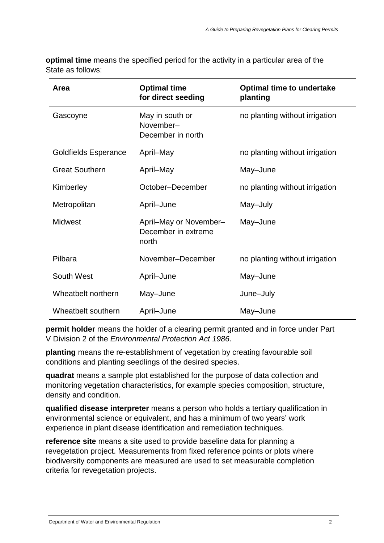| Area                  | <b>Optimal time</b><br>for direct seeding              | <b>Optimal time to undertake</b><br>planting |  |  |
|-----------------------|--------------------------------------------------------|----------------------------------------------|--|--|
| Gascoyne              | May in south or<br>November-<br>December in north      | no planting without irrigation               |  |  |
| Goldfields Esperance  | April-May                                              | no planting without irrigation               |  |  |
| <b>Great Southern</b> | April-May                                              | May-June                                     |  |  |
| Kimberley             | October-December                                       | no planting without irrigation               |  |  |
| Metropolitan          | April-June                                             | May-July                                     |  |  |
| <b>Midwest</b>        | April-May or November-<br>December in extreme<br>north | May-June                                     |  |  |
| Pilbara               | November-December                                      | no planting without irrigation               |  |  |
| South West            | April-June                                             | May-June                                     |  |  |
| Wheatbelt northern    | May-June                                               | June-July                                    |  |  |
| Wheatbelt southern    | April-June                                             | May-June                                     |  |  |

**optimal time** means the specified period for the activity in a particular area of the State as follows:

**permit holder** means the holder of a clearing permit granted and in force under Part V Division 2 of the *Environmental Protection Act 1986*.

**planting** means the re-establishment of vegetation by creating favourable soil conditions and planting seedlings of the desired species.

**quadrat** means a sample plot established for the purpose of data collection and monitoring vegetation characteristics, for example species composition, structure, density and condition.

**qualified disease interpreter** means a person who holds a tertiary qualification in environmental science or equivalent, and has a minimum of two years' work experience in plant disease identification and remediation techniques.

**reference site** means a site used to provide baseline data for planning a revegetation project. Measurements from fixed reference points or plots where biodiversity components are measured are used to set measurable completion criteria for revegetation projects.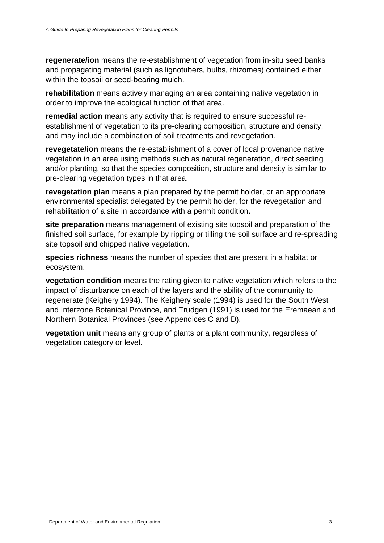**regenerate/ion** means the re-establishment of vegetation from in-situ seed banks and propagating material (such as lignotubers, bulbs, rhizomes) contained either within the topsoil or seed-bearing mulch.

**rehabilitation** means actively managing an area containing native vegetation in order to improve the ecological function of that area.

**remedial action** means any activity that is required to ensure successful reestablishment of vegetation to its pre-clearing composition, structure and density, and may include a combination of soil treatments and revegetation.

**revegetate/ion** means the re-establishment of a cover of local provenance native vegetation in an area using methods such as natural regeneration, direct seeding and/or planting, so that the species composition, structure and density is similar to pre-clearing vegetation types in that area.

**revegetation plan** means a plan prepared by the permit holder, or an appropriate environmental specialist delegated by the permit holder, for the revegetation and rehabilitation of a site in accordance with a permit condition.

**site preparation** means management of existing site topsoil and preparation of the finished soil surface, for example by ripping or tilling the soil surface and re-spreading site topsoil and chipped native vegetation.

**species richness** means the number of species that are present in a habitat or ecosystem.

**vegetation condition** means the rating given to native vegetation which refers to the impact of disturbance on each of the layers and the ability of the community to regenerate (Keighery 1994). The Keighery scale (1994) is used for the South West and Interzone Botanical Province, and Trudgen (1991) is used for the Eremaean and Northern Botanical Provinces (see Appendices C and D).

**vegetation unit** means any group of plants or a plant community, regardless of vegetation category or level.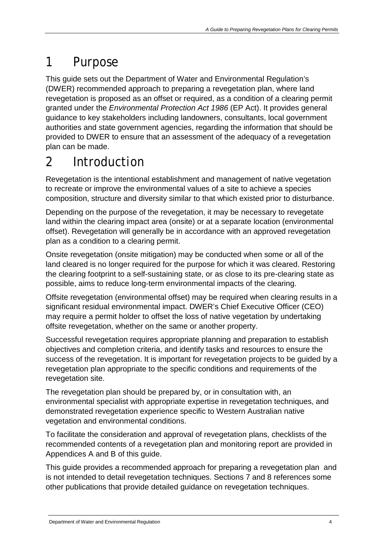# <span id="page-7-0"></span>1 Purpose

This guide sets out the Department of Water and Environmental Regulation's (DWER) recommended approach to preparing a revegetation plan, where land revegetation is proposed as an offset or required, as a condition of a clearing permit granted under the *Environmental Protection Act 1986* (EP Act). It provides general guidance to key stakeholders including landowners, consultants, local government authorities and state government agencies, regarding the information that should be provided to DWER to ensure that an assessment of the adequacy of a revegetation plan can be made.

# <span id="page-7-1"></span>2 Introduction

Revegetation is the intentional establishment and management of native vegetation to recreate or improve the environmental values of a site to achieve a species composition, structure and diversity similar to that which existed prior to disturbance.

Depending on the purpose of the revegetation, it may be necessary to revegetate land within the clearing impact area (onsite) or at a separate location (environmental offset). Revegetation will generally be in accordance with an approved revegetation plan as a condition to a clearing permit.

Onsite revegetation (onsite mitigation) may be conducted when some or all of the land cleared is no longer required for the purpose for which it was cleared. Restoring the clearing footprint to a self-sustaining state, or as close to its pre-clearing state as possible, aims to reduce long-term environmental impacts of the clearing.

Offsite revegetation (environmental offset) may be required when clearing results in a significant residual environmental impact. DWER's Chief Executive Officer (CEO) may require a permit holder to offset the loss of native vegetation by undertaking offsite revegetation, whether on the same or another property.

Successful revegetation requires appropriate planning and preparation to establish objectives and completion criteria, and identify tasks and resources to ensure the success of the revegetation. It is important for revegetation projects to be guided by a revegetation plan appropriate to the specific conditions and requirements of the revegetation site.

The revegetation plan should be prepared by, or in consultation with, an environmental specialist with appropriate expertise in revegetation techniques, and demonstrated revegetation experience specific to Western Australian native vegetation and environmental conditions.

To facilitate the consideration and approval of revegetation plans, checklists of the recommended contents of a revegetation plan and monitoring report are provided in Appendices A and B of this guide.

This guide provides a recommended approach for preparing a revegetation plan and is not intended to detail revegetation techniques. Sections 7 and 8 references some other publications that provide detailed guidance on revegetation techniques.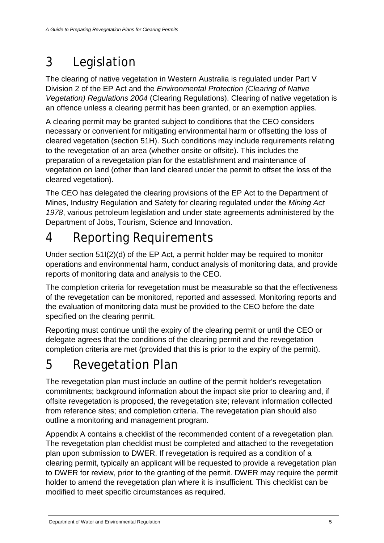# <span id="page-8-0"></span>3 Legislation

The clearing of native vegetation in Western Australia is regulated under Part V Division 2 of the EP Act and the *Environmental Protection (Clearing of Native Vegetation) Regulations 2004* (Clearing Regulations). Clearing of native vegetation is an offence unless a clearing permit has been granted, or an exemption applies.

A clearing permit may be granted subject to conditions that the CEO considers necessary or convenient for mitigating environmental harm or offsetting the loss of cleared vegetation (section 51H). Such conditions may include requirements relating to the revegetation of an area (whether onsite or offsite). This includes the preparation of a revegetation plan for the establishment and maintenance of vegetation on land (other than land cleared under the permit to offset the loss of the cleared vegetation).

The CEO has delegated the clearing provisions of the EP Act to the Department of Mines, Industry Regulation and Safety for clearing regulated under the *Mining Act 1978*, various petroleum legislation and under state agreements administered by the Department of Jobs, Tourism, Science and Innovation.

# <span id="page-8-1"></span>4 Reporting Requirements

Under section 51I(2)(d) of the EP Act, a permit holder may be required to monitor operations and environmental harm, conduct analysis of monitoring data, and provide reports of monitoring data and analysis to the CEO.

The completion criteria for revegetation must be measurable so that the effectiveness of the revegetation can be monitored, reported and assessed. Monitoring reports and the evaluation of monitoring data must be provided to the CEO before the date specified on the clearing permit.

Reporting must continue until the expiry of the clearing permit or until the CEO or delegate agrees that the conditions of the clearing permit and the revegetation completion criteria are met (provided that this is prior to the expiry of the permit).

# <span id="page-8-2"></span>5 Revegetation Plan

The revegetation plan must include an outline of the permit holder's revegetation commitments; background information about the impact site prior to clearing and, if offsite revegetation is proposed, the revegetation site; relevant information collected from reference sites; and completion criteria. The revegetation plan should also outline a monitoring and management program.

Appendix A contains a checklist of the recommended content of a revegetation plan. The revegetation plan checklist must be completed and attached to the revegetation plan upon submission to DWER. If revegetation is required as a condition of a clearing permit, typically an applicant will be requested to provide a revegetation plan to DWER for review, prior to the granting of the permit. DWER may require the permit holder to amend the revegetation plan where it is insufficient. This checklist can be modified to meet specific circumstances as required.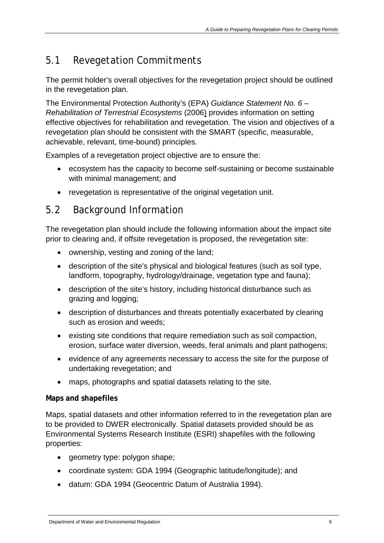# <span id="page-9-0"></span>5.1 Revegetation Commitments

The permit holder's overall objectives for the revegetation project should be outlined in the revegetation plan.

The Environmental Protection Authority's (EPA) *Guidance Statement No. 6 – Rehabilitation of Terrestrial Ecosystems* (2006) provides information on setting effective objectives for rehabilitation and revegetation. The vision and objectives of a revegetation plan should be consistent with the SMART (specific, measurable, achievable, relevant, time-bound) principles.

Examples of a revegetation project objective are to ensure the:

- ecosystem has the capacity to become self-sustaining or become sustainable with minimal management; and
- revegetation is representative of the original vegetation unit.

# <span id="page-9-1"></span>5.2 Background Information

The revegetation plan should include the following information about the impact site prior to clearing and, if offsite revegetation is proposed, the revegetation site:

- ownership, vesting and zoning of the land;
- description of the site's physical and biological features (such as soil type, landform, topography, hydrology/drainage, vegetation type and fauna);
- description of the site's history, including historical disturbance such as grazing and logging;
- description of disturbances and threats potentially exacerbated by clearing such as erosion and weeds;
- existing site conditions that require remediation such as soil compaction, erosion, surface water diversion, weeds, feral animals and plant pathogens;
- evidence of any agreements necessary to access the site for the purpose of undertaking revegetation; and
- maps, photographs and spatial datasets relating to the site.

### <span id="page-9-2"></span>**Maps and shapefiles**

Maps, spatial datasets and other information referred to in the revegetation plan are to be provided to DWER electronically. Spatial datasets provided should be as Environmental Systems Research Institute (ESRI) shapefiles with the following properties:

- geometry type: polygon shape;
- coordinate system: GDA 1994 (Geographic latitude/longitude); and
- datum: GDA 1994 (Geocentric Datum of Australia 1994).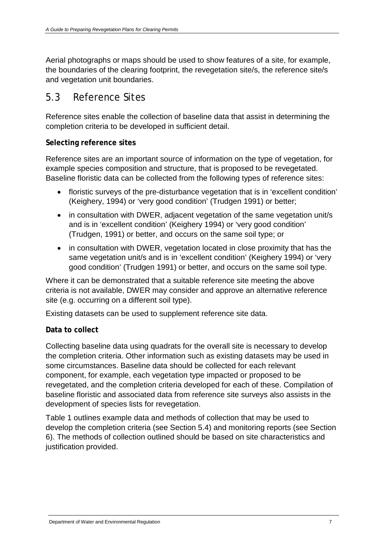Aerial photographs or maps should be used to show features of a site, for example, the boundaries of the clearing footprint, the revegetation site/s, the reference site/s and vegetation unit boundaries.

## <span id="page-10-0"></span>5.3 Reference Sites

Reference sites enable the collection of baseline data that assist in determining the completion criteria to be developed in sufficient detail.

### <span id="page-10-1"></span>**Selecting reference sites**

Reference sites are an important source of information on the type of vegetation, for example species composition and structure, that is proposed to be revegetated. Baseline floristic data can be collected from the following types of reference sites:

- floristic surveys of the pre-disturbance vegetation that is in 'excellent condition' (Keighery, 1994) or 'very good condition' (Trudgen 1991) or better;
- in consultation with DWER, adjacent vegetation of the same vegetation unit/s and is in 'excellent condition' (Keighery 1994) or 'very good condition' (Trudgen, 1991) or better, and occurs on the same soil type; or
- in consultation with DWER, vegetation located in close proximity that has the same vegetation unit/s and is in 'excellent condition' (Keighery 1994) or 'very good condition' (Trudgen 1991) or better, and occurs on the same soil type.

Where it can be demonstrated that a suitable reference site meeting the above criteria is not available, DWER may consider and approve an alternative reference site (e.g. occurring on a different soil type).

Existing datasets can be used to supplement reference site data.

### <span id="page-10-2"></span>**Data to collect**

Collecting baseline data using quadrats for the overall site is necessary to develop the completion criteria. Other information such as existing datasets may be used in some circumstances. Baseline data should be collected for each relevant component, for example, each vegetation type impacted or proposed to be revegetated, and the completion criteria developed for each of these. Compilation of baseline floristic and associated data from reference site surveys also assists in the development of species lists for revegetation.

Table 1 outlines example data and methods of collection that may be used to develop the completion criteria (see Section 5.4) and monitoring reports (see Section 6). The methods of collection outlined should be based on site characteristics and justification provided.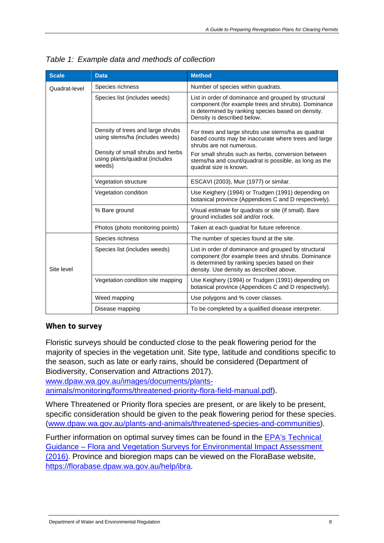| <b>Scale</b>  | <b>Data</b>                                                                   | <b>Method</b>                                                                                                                                                                                             |  |  |  |  |
|---------------|-------------------------------------------------------------------------------|-----------------------------------------------------------------------------------------------------------------------------------------------------------------------------------------------------------|--|--|--|--|
| Quadrat-level | Species richness                                                              | Number of species within quadrats.                                                                                                                                                                        |  |  |  |  |
|               | Species list (includes weeds)                                                 | List in order of dominance and grouped by structural<br>component (for example trees and shrubs). Dominance<br>is determined by ranking species based on density.<br>Density is described below.          |  |  |  |  |
|               | Density of trees and large shrubs<br>using stems/ha (includes weeds)          | For trees and large shrubs use stems/ha as quadrat<br>based counts may be inaccurate where trees and large<br>shrubs are not numerous.                                                                    |  |  |  |  |
|               | Density of small shrubs and herbs<br>using plants/quadrat (includes<br>weeds) | For small shrubs such as herbs, conversion between<br>stems/ha and count/quadrat is possible, as long as the<br>quadrat size is known.                                                                    |  |  |  |  |
|               | Vegetation structure                                                          | ESCAVI (2003), Muir (1977) or similar.                                                                                                                                                                    |  |  |  |  |
|               | Vegetation condition                                                          | Use Keighery (1994) or Trudgen (1991) depending on<br>botanical province (Appendices C and D respectively).                                                                                               |  |  |  |  |
|               | % Bare ground                                                                 | Visual estimate for quadrats or site (if small). Bare<br>ground includes soil and/or rock.                                                                                                                |  |  |  |  |
|               | Photos (photo monitoring points)                                              | Taken at each quadrat for future reference.                                                                                                                                                               |  |  |  |  |
|               | Species richness                                                              | The number of species found at the site.                                                                                                                                                                  |  |  |  |  |
| Site level    | Species list (includes weeds)                                                 | List in order of dominance and grouped by structural<br>component (for example trees and shrubs. Dominance<br>is determined by ranking species based on their<br>density. Use density as described above. |  |  |  |  |
|               | Vegetation condition site mapping                                             | Use Keighery (1994) or Trudgen (1991) depending on<br>botanical province (Appendices C and D respectively).                                                                                               |  |  |  |  |
|               | Weed mapping                                                                  | Use polygons and % cover classes.                                                                                                                                                                         |  |  |  |  |
|               | Disease mapping                                                               | To be completed by a qualified disease interpreter.                                                                                                                                                       |  |  |  |  |

<span id="page-11-1"></span>*Table 1: Example data and methods of collection* 

### <span id="page-11-0"></span>**When to survey**

Floristic surveys should be conducted close to the peak flowering period for the majority of species in the vegetation unit. Site type, latitude and conditions specific to the season, such as late or early rains, should be considered (Department of Biodiversity, Conservation and Attractions 2017).

[www.dpaw.wa.gov.au/images/documents/plants](http://www.dpaw.wa.gov.au/images/documents/plants-animals/monitoring/forms/threatened-priority-flora-field-manual.pdf)[animals/monitoring/forms/threatened-priority-flora-field-manual.pdf\)](http://www.dpaw.wa.gov.au/images/documents/plants-animals/monitoring/forms/threatened-priority-flora-field-manual.pdf).

Where Threatened or Priority flora species are present, or are likely to be present, specific consideration should be given to the peak flowering period for these species. [\(www.dpaw.wa.gov.au/plants-and-animals/threatened-species-and-communities\)](http://www.dpaw.wa.gov.au/plants-and-animals/threatened-species-and-communities).

Further information on optimal survey times can be found in the [EPA's Technical](http://www.epa.wa.gov.au/sites/default/files/Policies_and_Guidance/EPA%20Technical%20Guidance%20-%20Flora%20and%20Vegetation%20survey_Dec13.pdf)  [Guidance – Flora and Vegetation Surveys for Environmental Impact Assessment](http://www.epa.wa.gov.au/sites/default/files/Policies_and_Guidance/EPA%20Technical%20Guidance%20-%20Flora%20and%20Vegetation%20survey_Dec13.pdf)  [\(2016\).](http://www.epa.wa.gov.au/sites/default/files/Policies_and_Guidance/EPA%20Technical%20Guidance%20-%20Flora%20and%20Vegetation%20survey_Dec13.pdf) Province and bioregion maps can be viewed on the FloraBase website, [https://florabase.dpaw.wa.gov.au/help/ibra.](https://florabase.dpaw.wa.gov.au/help/ibra)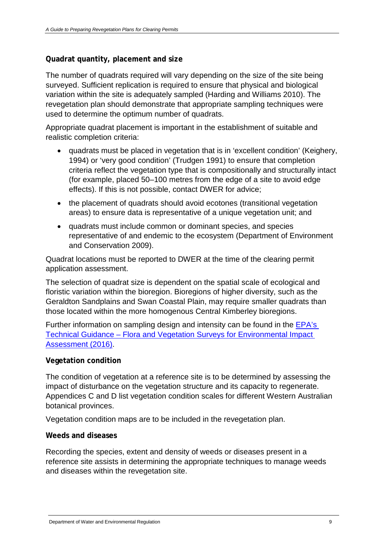### <span id="page-12-0"></span>**Quadrat quantity, placement and size**

The number of quadrats required will vary depending on the size of the site being surveyed. Sufficient replication is required to ensure that physical and biological variation within the site is adequately sampled (Harding and Williams 2010). The revegetation plan should demonstrate that appropriate sampling techniques were used to determine the optimum number of quadrats.

Appropriate quadrat placement is important in the establishment of suitable and realistic completion criteria:

- quadrats must be placed in vegetation that is in 'excellent condition' (Keighery, 1994) or 'very good condition' (Trudgen 1991) to ensure that completion criteria reflect the vegetation type that is compositionally and structurally intact (for example, placed 50–100 metres from the edge of a site to avoid edge effects). If this is not possible, contact DWER for advice;
- the placement of quadrats should avoid ecotones (transitional vegetation areas) to ensure data is representative of a unique vegetation unit; and
- quadrats must include common or dominant species, and species representative of and endemic to the ecosystem (Department of Environment and Conservation 2009).

Quadrat locations must be reported to DWER at the time of the clearing permit application assessment.

The selection of quadrat size is dependent on the spatial scale of ecological and floristic variation within the bioregion. Bioregions of higher diversity, such as the Geraldton Sandplains and Swan Coastal Plain, may require smaller quadrats than those located within the more homogenous Central Kimberley bioregions.

Further information on sampling design and intensity can be found in the [EPA's](http://www.epa.wa.gov.au/sites/default/files/Policies_and_Guidance/EPA%20Technical%20Guidance%20-%20Flora%20and%20Vegetation%20survey_Dec13.pdf) Technical Guidance – [Flora and Vegetation Surveys for Environmental Impact](http://www.epa.wa.gov.au/sites/default/files/Policies_and_Guidance/EPA%20Technical%20Guidance%20-%20Flora%20and%20Vegetation%20survey_Dec13.pdf)  [Assessment \(2016\).](http://www.epa.wa.gov.au/sites/default/files/Policies_and_Guidance/EPA%20Technical%20Guidance%20-%20Flora%20and%20Vegetation%20survey_Dec13.pdf)

### <span id="page-12-1"></span>**Vegetation condition**

The condition of vegetation at a reference site is to be determined by assessing the impact of disturbance on the vegetation structure and its capacity to regenerate. Appendices C and D list vegetation condition scales for different Western Australian botanical provinces.

Vegetation condition maps are to be included in the revegetation plan.

#### <span id="page-12-2"></span>**Weeds and diseases**

Recording the species, extent and density of weeds or diseases present in a reference site assists in determining the appropriate techniques to manage weeds and diseases within the revegetation site.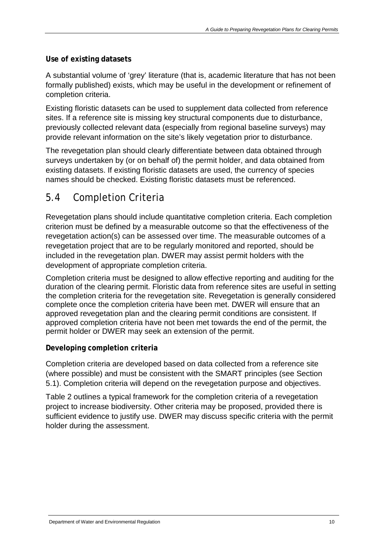### <span id="page-13-0"></span>**Use of existing datasets**

A substantial volume of 'grey' literature (that is, academic literature that has not been formally published) exists, which may be useful in the development or refinement of completion criteria.

Existing floristic datasets can be used to supplement data collected from reference sites. If a reference site is missing key structural components due to disturbance, previously collected relevant data (especially from regional baseline surveys) may provide relevant information on the site's likely vegetation prior to disturbance.

The revegetation plan should clearly differentiate between data obtained through surveys undertaken by (or on behalf of) the permit holder, and data obtained from existing datasets. If existing floristic datasets are used, the currency of species names should be checked. Existing floristic datasets must be referenced.

# <span id="page-13-1"></span>5.4 Completion Criteria

Revegetation plans should include quantitative completion criteria. Each completion criterion must be defined by a measurable outcome so that the effectiveness of the revegetation action(s) can be assessed over time. The measurable outcomes of a revegetation project that are to be regularly monitored and reported, should be included in the revegetation plan. DWER may assist permit holders with the development of appropriate completion criteria.

Completion criteria must be designed to allow effective reporting and auditing for the duration of the clearing permit. Floristic data from reference sites are useful in setting the completion criteria for the revegetation site. Revegetation is generally considered complete once the completion criteria have been met. DWER will ensure that an approved revegetation plan and the clearing permit conditions are consistent. If approved completion criteria have not been met towards the end of the permit, the permit holder or DWER may seek an extension of the permit.

### <span id="page-13-2"></span>**Developing completion criteria**

Completion criteria are developed based on data collected from a reference site (where possible) and must be consistent with the SMART principles (see Section 5.1). Completion criteria will depend on the revegetation purpose and objectives.

<span id="page-13-3"></span>Table 2 outlines a typical framework for the completion criteria of a revegetation project to increase biodiversity. Other criteria may be proposed, provided there is sufficient evidence to justify use. DWER may discuss specific criteria with the permit holder during the assessment.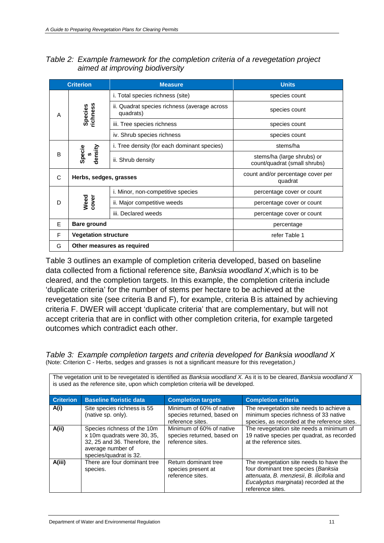| Table 2: Example framework for the completion criteria of a revegetation project |
|----------------------------------------------------------------------------------|
| aimed at improving biodiversity                                                  |

| <b>Criterion</b> |                             | <b>Measure</b>                                            | <b>Units</b>                                               |
|------------------|-----------------------------|-----------------------------------------------------------|------------------------------------------------------------|
|                  |                             | i. Total species richness (site)                          | species count                                              |
| A                | <b>ichness</b><br>Species   | ii. Quadrat species richness (average across<br>quadrats) | species count                                              |
|                  |                             | iii. Tree species richness                                | species count                                              |
|                  |                             | iv. Shrub species richness                                | species count                                              |
|                  |                             | i. Tree density (for each dominant species)               | stems/ha                                                   |
| B                | density<br>Specie<br>S,     | ii. Shrub density                                         | stems/ha (large shrubs) or<br>count/quadrat (small shrubs) |
| C                | Herbs, sedges, grasses      |                                                           | count and/or percentage cover per<br>quadrat               |
|                  |                             | i. Minor, non-competitive species                         | percentage cover or count                                  |
| D                | Weed<br>cover               | ii. Major competitive weeds                               | percentage cover or count                                  |
|                  |                             | iii. Declared weeds                                       | percentage cover or count                                  |
| E                | <b>Bare ground</b>          |                                                           | percentage                                                 |
| F                | <b>Vegetation structure</b> |                                                           | refer Table 1                                              |
| G                |                             | Other measures as required                                |                                                            |

Table 3 outlines an example of completion criteria developed, based on baseline data collected from a fictional reference site, *Banksia woodland X*,which is to be cleared, and the completion targets. In this example, the completion criteria include 'duplicate criteria' for the number of stems per hectare to be achieved at the revegetation site (see criteria B and F), for example, criteria B is attained by achieving criteria F. DWER will accept 'duplicate criteria' that are complementary, but will not accept criteria that are in conflict with other completion criteria, for example targeted outcomes which contradict each other.

| The vegetation unit to be revegetated is identified as Banksia woodland X. As it is to be cleared, Banksia woodland X<br>is used as the reference site, upon which completion criteria will be developed. |                                                   |                                                                            |                                                                                                                                   |  |  |  |
|-----------------------------------------------------------------------------------------------------------------------------------------------------------------------------------------------------------|---------------------------------------------------|----------------------------------------------------------------------------|-----------------------------------------------------------------------------------------------------------------------------------|--|--|--|
| <b>Criterion</b>                                                                                                                                                                                          | <b>Baseline floristic data</b>                    | <b>Completion targets</b>                                                  | <b>Completion criteria</b>                                                                                                        |  |  |  |
| A(i)                                                                                                                                                                                                      | Site species richness is 55<br>(native sp. only). | Minimum of 60% of native<br>species returned, based on<br>reference sites. | The revegetation site needs to achieve a<br>minimum species richness of 33 native<br>species, as recorded at the reference sites. |  |  |  |
| A(ii)                                                                                                                                                                                                     | Species richness of the 10m                       | Minimum of 60% of native                                                   | The revegetation site needs a minimum of                                                                                          |  |  |  |

species returned, based on

reference sites.

Return dominant tree species present at reference sites.

<span id="page-14-0"></span>*Table 3: Example completion targets and criteria developed for Banksia woodland X* (Note: Criterion C - Herbs, sedges and grasses is not a significant measure for this revegetation.*)*

x 10m quadrats were 30, 35, 32, 25 and 36. Therefore, the

average number of species/quadrat is 32.

**A(iii)** There are four dominant tree species.

19 native species per quadrat, as recorded

The revegetation site needs to have the four dominant tree species (*Banksia attenuata*, *B. menziesii*, *B. ilicifolia* and *Eucalyptus marginata*) recorded at the

at the reference sites.

reference sites.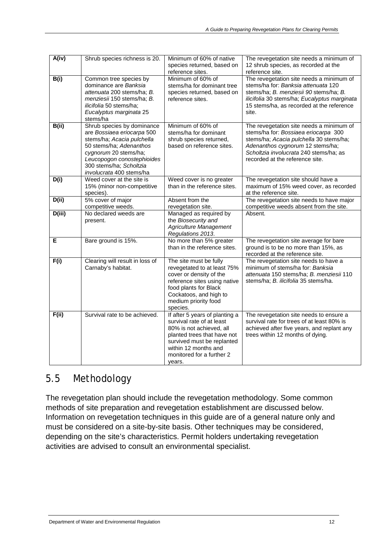| A(iv)  | Shrub species richness is 20.                                                                                                                                                                                                   | Minimum of 60% of native<br>species returned, based on<br>reference sites.                                                                                                                                          | The revegetation site needs a minimum of<br>12 shrub species, as recorded at the<br>reference site.                                                                                                                                          |
|--------|---------------------------------------------------------------------------------------------------------------------------------------------------------------------------------------------------------------------------------|---------------------------------------------------------------------------------------------------------------------------------------------------------------------------------------------------------------------|----------------------------------------------------------------------------------------------------------------------------------------------------------------------------------------------------------------------------------------------|
| B(i)   | Common tree species by<br>dominance are Banksia<br>attenuata 200 stems/ha; B.<br>menziesii 150 stems/ha; B.<br>ilicifolia 50 stems/ha;<br>Eucalyptus marginata 25<br>stems/ha                                                   | Minimum of 60% of<br>stems/ha for dominant tree<br>species returned, based on<br>reference sites.                                                                                                                   | The revegetation site needs a minimum of<br>stems/ha for: Banksia attenuata 120<br>stems/ha; B. menziesii 90 stems/ha; B.<br>ilicifolia 30 stems/ha; Eucalyptus marginata<br>15 stems/ha, as recorded at the reference<br>site.              |
| B(i)   | Shrub species by dominance<br>are Bossiaea eriocarpa 500<br>stems/ha; Acacia pulchella<br>50 stems/ha; Adenanthos<br>cygnorum 20 stems/ha;<br>Leucopogon conostephioides<br>300 stems/ha; Scholtzia<br>involucrata 400 stems/ha | Minimum of 60% of<br>stems/ha for dominant<br>shrub species returned,<br>based on reference sites.                                                                                                                  | The revegetation site needs a minimum of<br>stems/ha for: Bossiaea eriocarpa 300<br>stems/ha; Acacia pulchella 30 stems/ha;<br>Adenanthos cygnorum 12 stems/ha;<br>Scholtzia involucrata 240 stems/ha; as<br>recorded at the reference site. |
| D(i)   | Weed cover at the site is<br>15% (minor non-competitive<br>species).                                                                                                                                                            | Weed cover is no greater<br>than in the reference sites.                                                                                                                                                            | The revegetation site should have a<br>maximum of 15% weed cover, as recorded<br>at the reference site.                                                                                                                                      |
| D(i)   | 5% cover of major<br>competitive weeds.                                                                                                                                                                                         | Absent from the<br>revegetation site.                                                                                                                                                                               | The revegetation site needs to have major<br>competitive weeds absent from the site.                                                                                                                                                         |
| D(iii) | No declared weeds are<br>present.                                                                                                                                                                                               | Managed as required by<br>the Biosecurity and<br><b>Agriculture Management</b><br>Regulations 2013.                                                                                                                 | Absent.                                                                                                                                                                                                                                      |
| Е      | Bare ground is 15%.                                                                                                                                                                                                             | No more than 5% greater<br>than in the reference sites.                                                                                                                                                             | The revegetation site average for bare<br>ground is to be no more than 15%, as<br>recorded at the reference site.                                                                                                                            |
| F(i)   | Clearing will result in loss of<br>Carnaby's habitat.                                                                                                                                                                           | The site must be fully<br>revegetated to at least 75%<br>cover or density of the<br>reference sites using native<br>food plants for Black<br>Cockatoos, and high to<br>medium priority food<br>species.             | The revegetation site needs to have a<br>minimum of stems/ha for: Banksia<br>attenuata 150 stems/ha; B. menziesii 110<br>stems/ha; B. ilicifolia 35 stems/ha.                                                                                |
| F(ii)  | Survival rate to be achieved.                                                                                                                                                                                                   | If after 5 years of planting a<br>survival rate of at least<br>80% is not achieved, all<br>planted trees that have not<br>survived must be replanted<br>within 12 months and<br>monitored for a further 2<br>years. | The revegetation site needs to ensure a<br>survival rate for trees of at least 80% is<br>achieved after five years, and replant any<br>trees within 12 months of dying.                                                                      |

# <span id="page-15-0"></span>5.5 Methodology

The revegetation plan should include the revegetation methodology. Some common methods of site preparation and revegetation establishment are discussed below. Information on revegetation techniques in this guide are of a general nature only and must be considered on a site-by-site basis. Other techniques may be considered, depending on the site's characteristics. Permit holders undertaking revegetation activities are advised to consult an environmental specialist.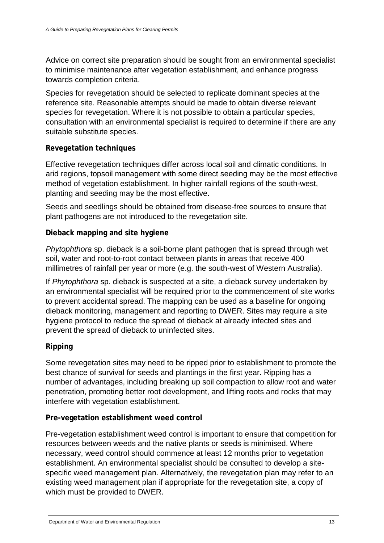Advice on correct site preparation should be sought from an environmental specialist to minimise maintenance after vegetation establishment, and enhance progress towards completion criteria.

Species for revegetation should be selected to replicate dominant species at the reference site. Reasonable attempts should be made to obtain diverse relevant species for revegetation. Where it is not possible to obtain a particular species, consultation with an environmental specialist is required to determine if there are any suitable substitute species.

### <span id="page-16-0"></span>**Revegetation techniques**

Effective revegetation techniques differ across local soil and climatic conditions. In arid regions, topsoil management with some direct seeding may be the most effective method of vegetation establishment. In higher rainfall regions of the south-west, planting and seeding may be the most effective.

Seeds and seedlings should be obtained from disease-free sources to ensure that plant pathogens are not introduced to the revegetation site.

### <span id="page-16-1"></span>**Dieback mapping and site hygiene**

*Phytophthora* sp. dieback is a soil-borne plant pathogen that is spread through wet soil, water and root-to-root contact between plants in areas that receive 400 millimetres of rainfall per year or more (e.g. the south-west of Western Australia).

If *Phytophthora* sp. dieback is suspected at a site, a dieback survey undertaken by an environmental specialist will be required prior to the commencement of site works to prevent accidental spread. The mapping can be used as a baseline for ongoing dieback monitoring, management and reporting to DWER. Sites may require a site hygiene protocol to reduce the spread of dieback at already infected sites and prevent the spread of dieback to uninfected sites.

### <span id="page-16-2"></span>**Ripping**

Some revegetation sites may need to be ripped prior to establishment to promote the best chance of survival for seeds and plantings in the first year. Ripping has a number of advantages, including breaking up soil compaction to allow root and water penetration, promoting better root development, and lifting roots and rocks that may interfere with vegetation establishment.

### <span id="page-16-3"></span>**Pre-vegetation establishment weed control**

Pre-vegetation establishment weed control is important to ensure that competition for resources between weeds and the native plants or seeds is minimised. Where necessary, weed control should commence at least 12 months prior to vegetation establishment. An environmental specialist should be consulted to develop a sitespecific weed management plan. Alternatively, the revegetation plan may refer to an existing weed management plan if appropriate for the revegetation site, a copy of which must be provided to DWER.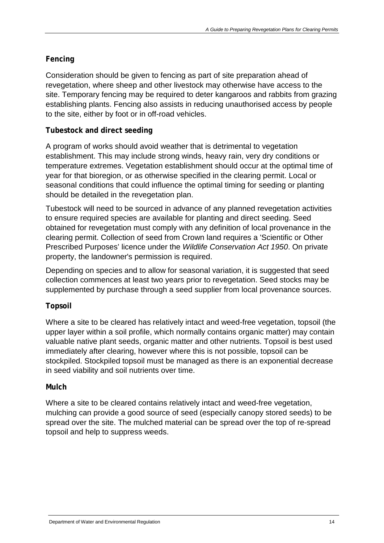### <span id="page-17-0"></span>**Fencing**

Consideration should be given to fencing as part of site preparation ahead of revegetation, where sheep and other livestock may otherwise have access to the site. Temporary fencing may be required to deter kangaroos and rabbits from grazing establishing plants. Fencing also assists in reducing unauthorised access by people to the site, either by foot or in off-road vehicles.

### <span id="page-17-1"></span>**Tubestock and direct seeding**

A program of works should avoid weather that is detrimental to vegetation establishment. This may include strong winds, heavy rain, very dry conditions or temperature extremes. Vegetation establishment should occur at the optimal time of year for that bioregion, or as otherwise specified in the clearing permit. Local or seasonal conditions that could influence the optimal timing for seeding or planting should be detailed in the revegetation plan.

Tubestock will need to be sourced in advance of any planned revegetation activities to ensure required species are available for planting and direct seeding. Seed obtained for revegetation must comply with any definition of local provenance in the clearing permit. Collection of seed from Crown land requires a 'Scientific or Other Prescribed Purposes' licence under the *Wildlife Conservation Act 1950*. On private property, the landowner's permission is required.

Depending on species and to allow for seasonal variation, it is suggested that seed collection commences at least two years prior to revegetation. Seed stocks may be supplemented by purchase through a seed supplier from local provenance sources.

### <span id="page-17-2"></span>**Topsoil**

Where a site to be cleared has relatively intact and weed-free vegetation, topsoil (the upper layer within a soil profile, which normally contains organic matter) may contain valuable native plant seeds, organic matter and other nutrients. Topsoil is best used immediately after clearing, however where this is not possible, topsoil can be stockpiled. Stockpiled topsoil must be managed as there is an exponential decrease in seed viability and soil nutrients over time.

### <span id="page-17-3"></span>**Mulch**

Where a site to be cleared contains relatively intact and weed-free vegetation, mulching can provide a good source of seed (especially canopy stored seeds) to be spread over the site. The mulched material can be spread over the top of re-spread topsoil and help to suppress weeds.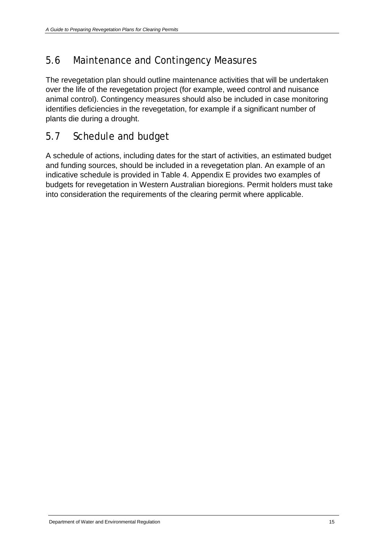# <span id="page-18-0"></span>5.6 Maintenance and Contingency Measures

The revegetation plan should outline maintenance activities that will be undertaken over the life of the revegetation project (for example, weed control and nuisance animal control). Contingency measures should also be included in case monitoring identifies deficiencies in the revegetation, for example if a significant number of plants die during a drought.

# <span id="page-18-1"></span>5.7 Schedule and budget

A schedule of actions, including dates for the start of activities, an estimated budget and funding sources, should be included in a revegetation plan. An example of an indicative schedule is provided in Table 4. Appendix E provides two examples of budgets for revegetation in Western Australian bioregions. Permit holders must take into consideration the requirements of the clearing permit where applicable.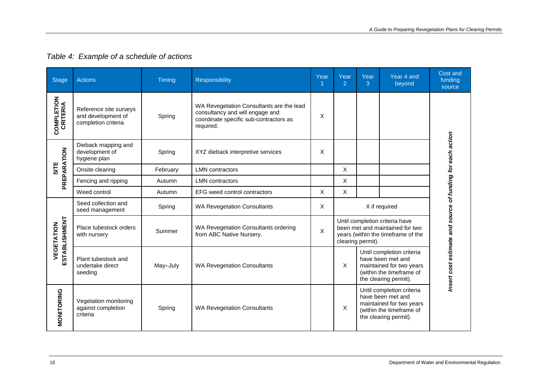<span id="page-19-0"></span>

| <b>Stage</b>                  | <b>Actions</b>                                                      | Timing   | Responsibility                                                                                                                     | Year | Year<br>2                                                                                                                    | Year<br>3 | Year 4 and<br>beyond                                                                                                            | Cost and<br>funding<br>source                              |
|-------------------------------|---------------------------------------------------------------------|----------|------------------------------------------------------------------------------------------------------------------------------------|------|------------------------------------------------------------------------------------------------------------------------------|-----------|---------------------------------------------------------------------------------------------------------------------------------|------------------------------------------------------------|
| <b>COMPLETION</b><br>CRITERIA | Reference site surveys<br>and development of<br>completion criteria | Spring   | WA Revegetation Consultants are the lead<br>consultancy and will engage and<br>coordinate specific sub-contractors as<br>required. | X    |                                                                                                                              |           |                                                                                                                                 |                                                            |
| PREPARATION                   | Dieback mapping and<br>development of<br>hygiene plan               | Spring   | XYZ dieback interpretive services                                                                                                  | X    |                                                                                                                              |           |                                                                                                                                 |                                                            |
| <b>SILE</b>                   | Onsite clearing                                                     | February | <b>LMN</b> contractors                                                                                                             |      | X                                                                                                                            |           |                                                                                                                                 |                                                            |
|                               | Fencing and ripping                                                 | Autumn   | <b>LMN</b> contractors                                                                                                             |      | Χ                                                                                                                            |           |                                                                                                                                 |                                                            |
|                               | Weed control                                                        | Autumn   | EFG weed control contractors                                                                                                       | Χ    | X                                                                                                                            |           |                                                                                                                                 |                                                            |
| ESTABLISHMENT<br>VEGETATION   | Seed collection and<br>seed management                              | Spring   | <b>WA Revegetation Consultants</b>                                                                                                 | х    | X if required                                                                                                                |           |                                                                                                                                 |                                                            |
|                               | Place tubestock orders<br>with nursery                              | Summer   | WA Revegetation Consultants ordering<br>from ABC Native Nursery.                                                                   | X    | Until completion criteria have<br>been met and maintained for two<br>years (within the timeframe of the<br>clearing permit). |           |                                                                                                                                 |                                                            |
|                               | Plant tubestock and<br>undertake direct<br>seeding                  | May-July | <b>WA Revegetation Consultants</b>                                                                                                 |      | X                                                                                                                            |           | Until completion criteria<br>have been met and<br>maintained for two years<br>(within the timeframe of<br>the clearing permit). | Insert cost estimate and source of funding for each action |
| MONITORING                    | Vegetation monitoring<br>against completion<br>criteria             | Spring   | <b>WA Revegetation Consultants</b>                                                                                                 |      | X                                                                                                                            |           | Until completion criteria<br>have been met and<br>maintained for two years<br>(within the timeframe of<br>the clearing permit). |                                                            |

## *Table 4: Example of a schedule of actions*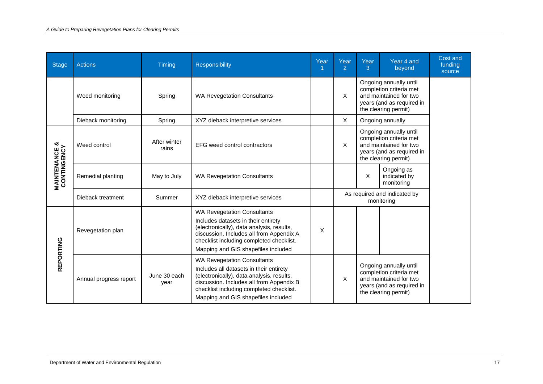| Stage                                    | <b>Actions</b>         | Timing                | <b>Responsibility</b>                                                                                                                                                                                                                                     | Year | Year<br>2                                  | Year<br>3 | Year 4 and<br>beyond                                                                                                             | Cost and<br>funding<br>source |
|------------------------------------------|------------------------|-----------------------|-----------------------------------------------------------------------------------------------------------------------------------------------------------------------------------------------------------------------------------------------------------|------|--------------------------------------------|-----------|----------------------------------------------------------------------------------------------------------------------------------|-------------------------------|
|                                          | Weed monitoring        | Spring                | <b>WA Revegetation Consultants</b>                                                                                                                                                                                                                        |      | X                                          |           | Ongoing annually until<br>completion criteria met<br>and maintained for two<br>years (and as required in<br>the clearing permit) |                               |
|                                          | Dieback monitoring     | Spring                | XYZ dieback interpretive services                                                                                                                                                                                                                         |      | X                                          |           | Ongoing annually                                                                                                                 |                               |
|                                          | Weed control           | After winter<br>rains | EFG weed control contractors                                                                                                                                                                                                                              |      | X                                          |           | Ongoing annually until<br>completion criteria met<br>and maintained for two<br>years (and as required in<br>the clearing permit) |                               |
| <b>MAINTENANCE &amp;<br/>CONTINGENCY</b> | Remedial planting      | May to July           | <b>WA Revegetation Consultants</b>                                                                                                                                                                                                                        |      |                                            | X         | Ongoing as<br>indicated by<br>monitoring                                                                                         |                               |
|                                          | Dieback treatment      | Summer                | XYZ dieback interpretive services                                                                                                                                                                                                                         |      | As required and indicated by<br>monitoring |           |                                                                                                                                  |                               |
|                                          | Revegetation plan      |                       | <b>WA Revegetation Consultants</b><br>Includes datasets in their entirety<br>(electronically), data analysis, results,<br>discussion. Includes all from Appendix A<br>checklist including completed checklist.<br>Mapping and GIS shapefiles included     | X    |                                            |           |                                                                                                                                  |                               |
| <b>REPORTING</b>                         | Annual progress report | June 30 each<br>year  | <b>WA Revegetation Consultants</b><br>Includes all datasets in their entirety<br>(electronically), data analysis, results,<br>discussion. Includes all from Appendix B<br>checklist including completed checklist.<br>Mapping and GIS shapefiles included |      | X                                          |           | Ongoing annually until<br>completion criteria met<br>and maintained for two<br>years (and as required in<br>the clearing permit) |                               |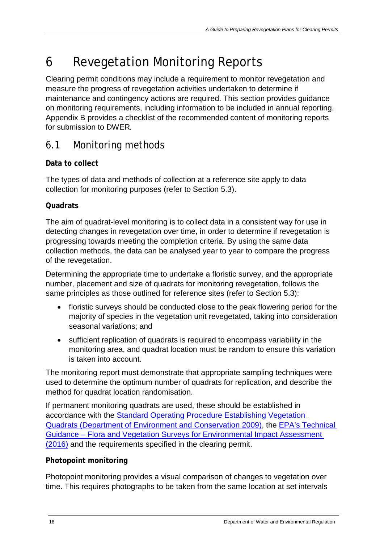# <span id="page-21-0"></span>6 Revegetation Monitoring Reports

Clearing permit conditions may include a requirement to monitor revegetation and measure the progress of revegetation activities undertaken to determine if maintenance and contingency actions are required. This section provides guidance on monitoring requirements, including information to be included in annual reporting. Appendix B provides a checklist of the recommended content of monitoring reports for submission to DWER*.*

# <span id="page-21-1"></span>6.1 Monitoring methods

## <span id="page-21-2"></span>**Data to collect**

The types of data and methods of collection at a reference site apply to data collection for monitoring purposes (refer to Section 5.3).

### <span id="page-21-3"></span>**Quadrats**

The aim of quadrat-level monitoring is to collect data in a consistent way for use in detecting changes in revegetation over time, in order to determine if revegetation is progressing towards meeting the completion criteria. By using the same data collection methods, the data can be analysed year to year to compare the progress of the revegetation.

Determining the appropriate time to undertake a floristic survey, and the appropriate number, placement and size of quadrats for monitoring revegetation, follows the same principles as those outlined for reference sites (refer to Section 5.3):

- floristic surveys should be conducted close to the peak flowering period for the majority of species in the vegetation unit revegetated, taking into consideration seasonal variations; and
- sufficient replication of quadrats is required to encompass variability in the monitoring area, and quadrat location must be random to ensure this variation is taken into account.

The monitoring report must demonstrate that appropriate sampling techniques were used to determine the optimum number of quadrats for replication, and describe the method for quadrat location randomisation.

If permanent monitoring quadrats are used, these should be established in accordance with the [Standard Operating Procedure Establishing Vegetation](http://www.dpaw.wa.gov.au/images/documents/plants-animals/monitoring/sop/sop_establishingvegetationquadrats_20090818_v1.0.pdf)  [Quadrats \(Department of Environment and Conservation 2009\),](http://www.dpaw.wa.gov.au/images/documents/plants-animals/monitoring/sop/sop_establishingvegetationquadrats_20090818_v1.0.pdf) the EPA's [Technical](http://www.epa.wa.gov.au/sites/default/files/Policies_and_Guidance/EPA%20Technical%20Guidance%20-%20Flora%20and%20Vegetation%20survey_Dec13.pdf)  Guidance – [Flora and Vegetation Surveys for Environmental Impact Assessment](http://www.epa.wa.gov.au/sites/default/files/Policies_and_Guidance/EPA%20Technical%20Guidance%20-%20Flora%20and%20Vegetation%20survey_Dec13.pdf)  [\(2016\)](http://www.epa.wa.gov.au/sites/default/files/Policies_and_Guidance/EPA%20Technical%20Guidance%20-%20Flora%20and%20Vegetation%20survey_Dec13.pdf) and the requirements specified in the clearing permit.

### <span id="page-21-4"></span>**Photopoint monitoring**

Photopoint monitoring provides a visual comparison of changes to vegetation over time. This requires photographs to be taken from the same location at set intervals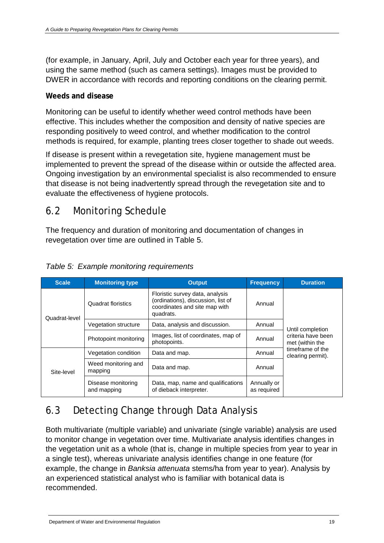(for example, in January, April, July and October each year for three years), and using the same method (such as camera settings). Images must be provided to DWER in accordance with records and reporting conditions on the clearing permit.

### <span id="page-22-0"></span>**Weeds and disease**

Monitoring can be useful to identify whether weed control methods have been effective. This includes whether the composition and density of native species are responding positively to weed control, and whether modification to the control methods is required, for example, planting trees closer together to shade out weeds.

If disease is present within a revegetation site, hygiene management must be implemented to prevent the spread of the disease within or outside the affected area. Ongoing investigation by an environmental specialist is also recommended to ensure that disease is not being inadvertently spread through the revegetation site and to evaluate the effectiveness of hygiene protocols.

## <span id="page-22-1"></span>6.2 Monitoring Schedule

The frequency and duration of monitoring and documentation of changes in revegetation over time are outlined in Table 5.

| <b>Scale</b>  | <b>Monitoring type</b>            | <b>Output</b>                                                                                                                 | <b>Frequency</b>           | <b>Duration</b>                                                                                    |  |
|---------------|-----------------------------------|-------------------------------------------------------------------------------------------------------------------------------|----------------------------|----------------------------------------------------------------------------------------------------|--|
| Quadrat-level | Quadrat floristics                | Floristic survey data, analysis<br>(ordinations), discussion, list of<br>Annual<br>coordinates and site map with<br>quadrats. |                            |                                                                                                    |  |
|               | Vegetation structure              | Data, analysis and discussion.                                                                                                | Annual                     | Until completion<br>criteria have been<br>met (within the<br>timeframe of the<br>clearing permit). |  |
|               | Photopoint monitoring             | Images, list of coordinates, map of<br>photopoints.                                                                           | Annual                     |                                                                                                    |  |
|               | Vegetation condition              | Data and map.                                                                                                                 | Annual                     |                                                                                                    |  |
| Site-level    | Weed monitoring and<br>mapping    | Data and map.                                                                                                                 | Annual                     |                                                                                                    |  |
|               | Disease monitoring<br>and mapping | Data, map, name and qualifications<br>of dieback interpreter.                                                                 | Annually or<br>as required |                                                                                                    |  |

### <span id="page-22-3"></span>*Table 5: Example monitoring requirements*

# <span id="page-22-2"></span>6.3 Detecting Change through Data Analysis

Both multivariate (multiple variable) and univariate (single variable) analysis are used to monitor change in vegetation over time. Multivariate analysis identifies changes in the vegetation unit as a whole (that is, change in multiple species from year to year in a single test), whereas univariate analysis identifies change in one feature (for example, the change in *Banksia attenuata* stems/ha from year to year). Analysis by an experienced statistical analyst who is familiar with botanical data is recommended.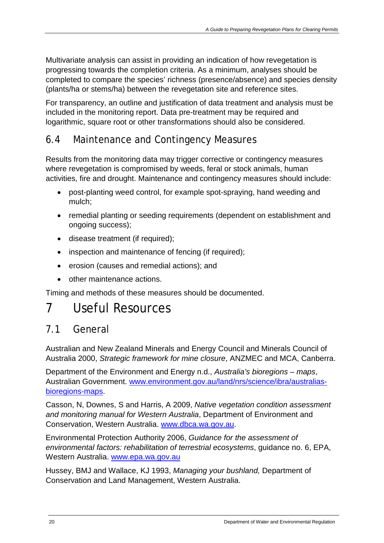Multivariate analysis can assist in providing an indication of how revegetation is progressing towards the completion criteria. As a minimum, analyses should be completed to compare the species' richness (presence/absence) and species density (plants/ha or stems/ha) between the revegetation site and reference sites.

For transparency, an outline and justification of data treatment and analysis must be included in the monitoring report. Data pre-treatment may be required and logarithmic, square root or other transformations should also be considered.

# <span id="page-23-0"></span>6.4 Maintenance and Contingency Measures

Results from the monitoring data may trigger corrective or contingency measures where revegetation is compromised by weeds, feral or stock animals, human activities, fire and drought. Maintenance and contingency measures should include:

- post-planting weed control, for example spot-spraying, hand weeding and mulch;
- remedial planting or seeding requirements (dependent on establishment and ongoing success);
- disease treatment (if required);
- inspection and maintenance of fencing (if required);
- erosion (causes and remedial actions); and
- other maintenance actions.

Timing and methods of these measures should be documented.

# <span id="page-23-1"></span>7 Useful Resources

# <span id="page-23-2"></span>7.1 General

Australian and New Zealand Minerals and Energy Council and Minerals Council of Australia 2000, *Strategic framework for mine closure*, ANZMEC and MCA, Canberra.

Department of the Environment and Energy n.d., *Australia's bioregions – maps*, Australian Government. [www.environment.gov.au/land/nrs/science/ibra/australias](http://www.environment.gov.au/land/nrs/science/ibra/australias-bioregions-maps)[bioregions-maps.](http://www.environment.gov.au/land/nrs/science/ibra/australias-bioregions-maps)

Casson, N, Downes, S and Harris, A 2009, *Native vegetation condition assessment and monitoring manual for Western Australia*, Department of Environment and Conservation, Western Australia. [www.dbca.wa.gov.au.](http://www.dbca.wa.gov.au/)

Environmental Protection Authority 2006, *Guidance for the assessment of environmental factors: rehabilitation of terrestrial ecosystems*, guidance no. 6, EPA, Western Australia. [www.epa.wa.gov.au](http://www.epa.wa.gov.au/)

Hussey, BMJ and Wallace, KJ 1993, *Managing your bushland,* Department of Conservation and Land Management, Western Australia.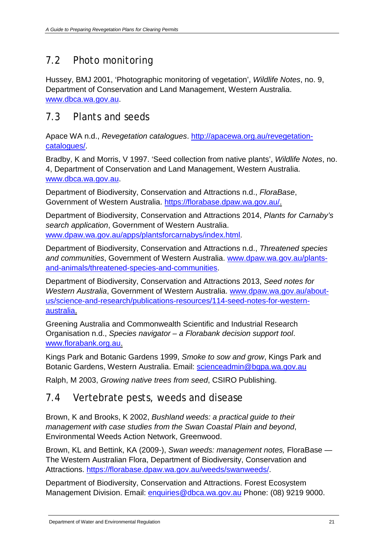# <span id="page-24-0"></span>7.2 Photo monitoring

Hussey, BMJ 2001, 'Photographic monitoring of vegetation', *Wildlife Notes*, no. 9, Department of Conservation and Land Management, Western Australia. [www.dbca.wa.gov.au.](http://www.dbca.wa.gov.au/)

# <span id="page-24-1"></span>7.3 Plants and seeds

Apace WA n.d., *Revegetation catalogues*. [http://apacewa.org.au/revegetation](http://apacewa.org.au/revegetation-catalogues/)[catalogues/.](http://apacewa.org.au/revegetation-catalogues/)

Bradby, K and Morris, V 1997. 'Seed collection from native plants', *Wildlife Notes*, no. 4, Department of Conservation and Land Management, Western Australia. [www.dbca.wa.gov.au.](http://www.dbca.wa.gov.au/)

Department of Biodiversity, Conservation and Attractions n.d., *FloraBase*, Government of Western Australia. [https://florabase.dpaw.wa.gov.au/.](https://florabase.dpaw.wa.gov.au/)

Department of Biodiversity, Conservation and Attractions 2014, *Plants for Carnaby's search application*, Government of Western Australia. [www.dpaw.wa.gov.au/apps/plantsforcarnabys/index.html.](http://www.dpaw.wa.gov.au/apps/plantsforcarnabys/index.html)

Department of Biodiversity, Conservation and Attractions n.d., *Threatened species and communities*, Government of Western Australia. [www.dpaw.wa.gov.au/plants](http://www.dpaw.wa.gov.au/plants-and-animals/threatened-species-and-communities)[and-animals/threatened-species-and-communities.](http://www.dpaw.wa.gov.au/plants-and-animals/threatened-species-and-communities)

Department of Biodiversity, Conservation and Attractions 2013, *Seed notes for Western Australia*, Government of Western Australia. [www.dpaw.wa.gov.au/about](http://www.dpaw.wa.gov.au/about-us/science-and-research/publications-resources/114-seed-notes-for-western-australia)[us/science-and-research/publications-resources/114-seed-notes-for-western](http://www.dpaw.wa.gov.au/about-us/science-and-research/publications-resources/114-seed-notes-for-western-australia)[australia.](http://www.dpaw.wa.gov.au/about-us/science-and-research/publications-resources/114-seed-notes-for-western-australia)

Greening Australia and Commonwealth Scientific and Industrial Research Organisation n.d., *Species navigator – a Florabank decision support tool*. [www.florabank.org.au.](http://www.florabank.org.au/)

Kings Park and Botanic Gardens 1999, *Smoke to sow and grow*, Kings Park and Botanic Gardens, Western Australia. Email: [scienceadmin@bgpa.wa.gov.au](mailto:scienceadmin@bgpa.wa.gov.au)

Ralph, M 2003, *Growing native trees from seed*, CSIRO Publishing.

## <span id="page-24-2"></span>7.4 Vertebrate pests, weeds and disease

Brown, K and Brooks, K 2002, *Bushland weeds: a practical guide to their management with case studies from the Swan Coastal Plain and beyond*, Environmental Weeds Action Network, Greenwood.

Brown, KL and Bettink, KA (2009-), *Swan weeds: management notes,* FloraBase — The Western Australian Flora, Department of Biodiversity, Conservation and Attractions. [https://florabase.dpaw.wa.gov.au/weeds/swanweeds/.](https://florabase.dpaw.wa.gov.au/weeds/swanweeds/)

Department of Biodiversity, Conservation and Attractions. Forest Ecosystem Management Division. Email: [enquiries@dbca.wa.gov.au](mailto:enquiries@dbca.wa.gov.au) Phone: (08) 9219 9000.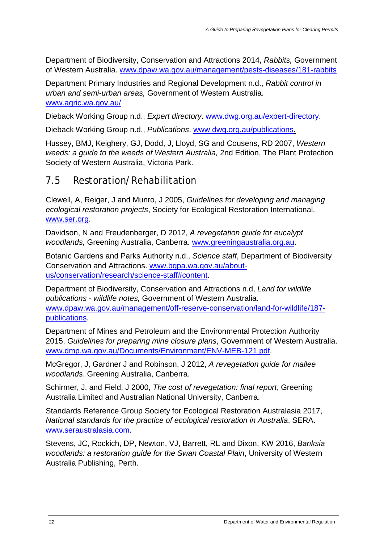Department of Biodiversity, Conservation and Attractions 2014, *Rabbits,* Government of Western Australia. [www.dpaw.wa.gov.au/management/pests-diseases/181-rabbits](http://www.dpaw.wa.gov.au/management/pests-diseases/181-rabbits)

Department Primary Industries and Regional Development n.d., *Rabbit control in urban and semi-urban areas,* Government of Western Australia. [www.agric.wa.gov.au/](http://www.agric.wa.gov.au/)

Dieback Working Group n.d., *Expert directory*. [www.dwg.org.au/expert-directory.](http://www.dwg.org.au/expert-directory)

Dieback Working Group n.d., *Publications*. [www.dwg.org.au/publications.](http://www.dwg.org.au/publications)

Hussey, BMJ, Keighery, GJ, Dodd, J, Lloyd, SG and Cousens, RD 2007, *Western weeds: a guide to the weeds of Western Australia,* 2nd Edition, The Plant Protection Society of Western Australia, Victoria Park.

## <span id="page-25-0"></span>7.5 Restoration/Rehabilitation

Clewell, A, Reiger, J and Munro, J 2005, *Guidelines for developing and managing ecological restoration projects*, Society for Ecological Restoration International. [www.ser.org.](http://www.ser.org/)

Davidson, N and Freudenberger, D 2012, *A revegetation guide for eucalypt woodlands,* Greening Australia, Canberra. [www.greeningaustralia.org.au.](http://www.greeningaustralia.org.au/)

Botanic Gardens and Parks Authority n.d., *Science staff*, Department of Biodiversity Conservation and Attractions. [www.bgpa.wa.gov.au/about](http://www.bgpa.wa.gov.au/about-us/conservation/research/science-staff#content)[us/conservation/research/science-staff#content.](http://www.bgpa.wa.gov.au/about-us/conservation/research/science-staff#content)

Department of Biodiversity, Conservation and Attractions n.d, *Land for wildlife publications - wildlife notes,* Government of Western Australia. [www.dpaw.wa.gov.au/management/off-reserve-conservation/land-for-wildlife/187](http://www.dpaw.wa.gov.au/management/off-reserve-conservation/land-for-wildlife/187-publications) [publications.](http://www.dpaw.wa.gov.au/management/off-reserve-conservation/land-for-wildlife/187-publications)

Department of Mines and Petroleum and the Environmental Protection Authority 2015, *Guidelines for preparing mine closure plans*, Government of Western Australia. [www.dmp.wa.gov.au/Documents/Environment/ENV-MEB-121.pdf.](http://www.dmp.wa.gov.au/Documents/Environment/ENV-MEB-121.pdf)

McGregor, J, Gardner J and Robinson, J 2012, *A revegetation guide for mallee woodlands*. Greening Australia, Canberra.

Schirmer, J. and Field, J 2000, *The cost of revegetation: final report*, Greening Australia Limited and Australian National University, Canberra.

Standards Reference Group Society for Ecological Restoration Australasia 2017, *National standards for the practice of ecological restoration in Australia*, SERA. [www.seraustralasia.com.](http://www.seraustralasia.com/)

Stevens, JC, Rockich, DP, Newton, VJ, Barrett, RL and Dixon, KW 2016, *Banksia woodlands: a restoration guide for the Swan Coastal Plain*, University of Western Australia Publishing, Perth.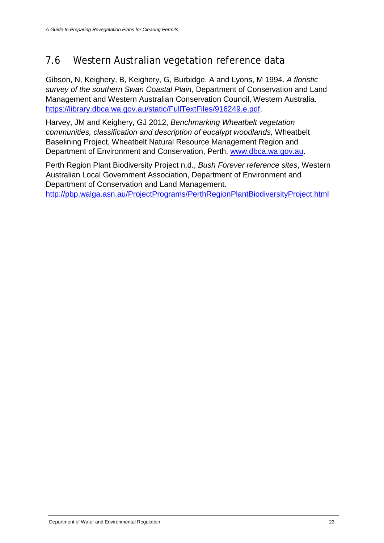# <span id="page-26-0"></span>7.6 Western Australian vegetation reference data

Gibson, N, Keighery, B, Keighery, G, Burbidge, A and Lyons, M 1994. *A floristic survey of the southern Swan Coastal Plain,* Department of Conservation and Land Management and Western Australian Conservation Council, Western Australia. [https://library.dbca.wa.gov.au/static/FullTextFiles/916249.e.pdf.](https://library.dbca.wa.gov.au/static/FullTextFiles/916249.e.pdf)

Harvey, JM and Keighery, GJ 2012, *Benchmarking Wheatbelt vegetation communities, classification and description of eucalypt woodlands,* Wheatbelt Baselining Project, Wheatbelt Natural Resource Management Region and Department of Environment and Conservation, Perth. [www.dbca.wa.gov.au.](http://www.dbca.wa.gov.au/)

Perth Region Plant Biodiversity Project n.d., *Bush Forever reference sites*, Western Australian Local Government Association, Department of Environment and Department of Conservation and Land Management.

<http://pbp.walga.asn.au/ProjectPrograms/PerthRegionPlantBiodiversityProject.html>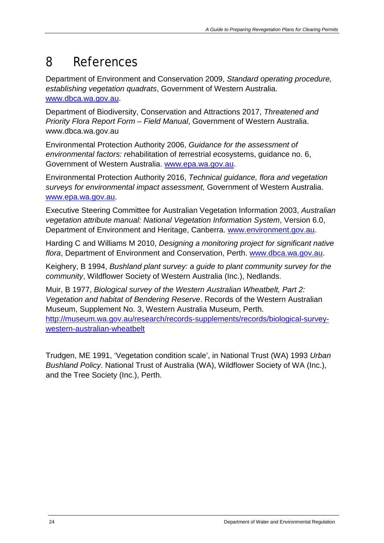# <span id="page-27-0"></span>8 References

Department of Environment and Conservation 2009, *Standard operating procedure, establishing vegetation quadrats*, Government of Western Australia. [www.dbca.wa.gov.au.](http://www.dbca.wa.gov.au/)

Department of Biodiversity, Conservation and Attractions 2017, *Threatened and Priority Flora Report Form – Field Manual*, Government of Western Australia. www.dbca.wa.gov.au

Environmental Protection Authority 2006, *Guidance for the assessment of environmental factors: r*ehabilitation of *t*errestrial *e*cosystems, guidance no. 6, Government of Western Australia. [www.epa.wa.gov.au.](http://www.epa.wa.gov.au/)

Environmental Protection Authority 2016, *Technical guidance, flora and vegetation surveys for environmental impact assessment,* Government of Western Australia. [www.epa.wa.gov.au.](http://www.epa.wa.gov.au/)

Executive Steering Committee for Australian Vegetation Information 2003, *Australian vegetation attribute manual: National Vegetation Information System*, Version 6.0, Department of Environment and Heritage, Canberra. [www.environment.gov.au.](http://www.environment.gov.au/)

Harding C and Williams M 2010, *Designing a monitoring project for significant native flora*, Department of Environment and Conservation, Perth. [www.dbca.wa.gov.au.](http://www.dbca.wa.gov.au/)

Keighery, B 1994, *Bushland plant survey: a guide to plant community survey for the community*, Wildflower Society of Western Australia (Inc.), Nedlands.

Muir, B 1977, *Biological survey of the Western Australian Wheatbelt, Part 2: Vegetation and habitat of Bendering Reserve*. Records of the Western Australian Museum, Supplement No. 3, Western Australia Museum, Perth. [http://museum.wa.gov.au/research/records-supplements/records/biological-survey](http://museum.wa.gov.au/research/records-supplements/records/biological-survey-western-australian-wheatbelt)[western-australian-wheatbelt](http://museum.wa.gov.au/research/records-supplements/records/biological-survey-western-australian-wheatbelt)

Trudgen, ME 1991, 'Vegetation condition scale', in National Trust (WA) 1993 *Urban Bushland Policy*. National Trust of Australia (WA), Wildflower Society of WA (Inc.), and the Tree Society (Inc.), Perth.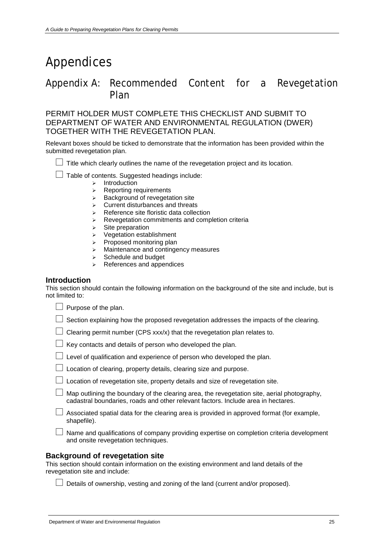# <span id="page-28-0"></span>Appendices

## <span id="page-28-1"></span>Appendix A: Recommended Content for a Revegetation Plan

PERMIT HOLDER MUST COMPLETE THIS CHECKLIST AND SUBMIT TO DEPARTMENT OF WATER AND ENVIRONMENTAL REGULATION (DWER) TOGETHER WITH THE REVEGETATION PLAN.

Relevant boxes should be ticked to demonstrate that the information has been provided within the submitted revegetation plan.

 $\Box$  Title which clearly outlines the name of the revegetation project and its location.

 $\Box$  Table of contents. Suggested headings include:

- $\triangleright$  Introduction
- $\triangleright$  Reporting requirements
- $\triangleright$  Background of revegetation site
- $\triangleright$  Current disturbances and threats
- $\triangleright$  Reference site floristic data collection
- $\triangleright$  Revegetation commitments and completion criteria
- $\triangleright$  Site preparation
- $\triangleright$  Vegetation establishment
- $\triangleright$  Proposed monitoring plan
- Maintenance and contingency measures
- $\triangleright$  Schedule and budget
- $\triangleright$  References and appendices

#### **Introduction**

This section should contain the following information on the background of the site and include, but is not limited to:

| $\Box$ Purpose of the plan. |  |
|-----------------------------|--|
|                             |  |

| $\Box$ Section explaining how the proposed revegetation addresses the impacts of the clearing. |  |  |
|------------------------------------------------------------------------------------------------|--|--|
|                                                                                                |  |  |

 $\Box$  Clearing permit number (CPS xxx/x) that the revegetation plan relates to.

|  |  | □ Level of qualification and experience of person who developed the plan. |
|--|--|---------------------------------------------------------------------------|

| $\Box$ Location of clearing, property details, clearing size and purpose |  |
|--------------------------------------------------------------------------|--|
|--------------------------------------------------------------------------|--|

 $\Box$  Map outlining the boundary of the clearing area, the revegetation site, aerial photography, cadastral boundaries, roads and other relevant factors. Include area in hectares.

 $\Box$  Associated spatial data for the clearing area is provided in approved format (for example, shapefile).

 $\Box$  Name and qualifications of company providing expertise on completion criteria development and onsite revegetation techniques.

#### **Background of revegetation site**

This section should contain information on the existing environment and land details of the revegetation site and include:

 $\Box$  Details of ownership, vesting and zoning of the land (current and/or proposed).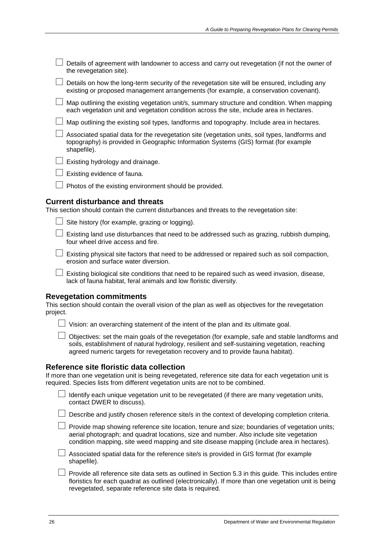| $\Box$ Details of agreement with landowner to access and carry out revegetation (if not the owner of |
|------------------------------------------------------------------------------------------------------|
| the revegetation site).                                                                              |

 $\Box$  Details on how the long-term security of the revegetation site will be ensured, including any existing or proposed management arrangements (for example, a conservation covenant).

 $\Box$  Map outlining the existing vegetation unit/s, summary structure and condition. When mapping each vegetation unit and vegetation condition across the site, include area in hectares.

 $\Box$  Map outlining the existing soil types, landforms and topography. Include area in hectares.

 $\Box$  Associated spatial data for the revegetation site (vegetation units, soil types, landforms and topography) is provided in Geographic Information Systems (GIS) format (for example shapefile).

 $\Box$  Existing hydrology and drainage.

| Existing evidence of fauna. |
|-----------------------------|
|-----------------------------|

 $\Box$  Photos of the existing environment should be provided.

#### **Current disturbance and threats**

This section should contain the current disturbances and threats to the revegetation site:

| $\Box$ Site history (for example, grazing or logging) |
|-------------------------------------------------------|
|-------------------------------------------------------|

 $\Box$  Existing land use disturbances that need to be addressed such as grazing, rubbish dumping, four wheel drive access and fire.

 $\Box$  Existing physical site factors that need to be addressed or repaired such as soil compaction, erosion and surface water diversion.

 $\Box$  Existing biological site conditions that need to be repaired such as weed invasion, disease, lack of fauna habitat, feral animals and low floristic diversity.

#### **Revegetation commitments**

This section should contain the overall vision of the plan as well as objectives for the revegetation project.

 $\Box$  Vision: an overarching statement of the intent of the plan and its ultimate goal.

 $\Box$  Objectives: set the main goals of the revegetation (for example, safe and stable landforms and soils, establishment of natural hydrology, resilient and self-sustaining vegetation, reaching agreed numeric targets for revegetation recovery and to provide fauna habitat).

#### **Reference site floristic data collection**

If more than one vegetation unit is being revegetated, reference site data for each vegetation unit is required. Species lists from different vegetation units are not to be combined.

I dentify each unique vegetation unit to be revegetated (if there are many vegetation units, contact DWER to discuss).

 $\Box$  Describe and justify chosen reference site/s in the context of developing completion criteria.

 $\Box$  Provide map showing reference site location, tenure and size; boundaries of vegetation units; aerial photograph; and quadrat locations, size and number. Also include site vegetation condition mapping, site weed mapping and site disease mapping (include area in hectares).

 $\Box$  Associated spatial data for the reference site/s is provided in GIS format (for example shapefile).

 $\Box$  Provide all reference site data sets as outlined in Section 5.3 in this guide. This includes entire floristics for each quadrat as outlined (electronically). If more than one vegetation unit is being revegetated, separate reference site data is required.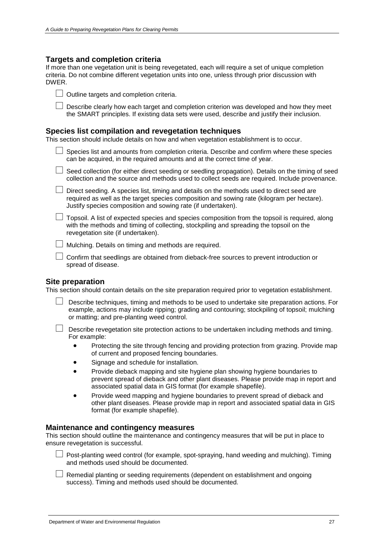#### **Targets and completion criteria**

If more than one vegetation unit is being revegetated, each will require a set of unique completion criteria. Do not combine different vegetation units into one, unless through prior discussion with DWER.

| $\Box$ Outline targets and completion criteria. |
|-------------------------------------------------|
|                                                 |

 $\Box$  Describe clearly how each target and completion criterion was developed and how they meet the SMART principles. If existing data sets were used, describe and justify their inclusion.

#### **Species list compilation and revegetation techniques**

This section should include details on how and when vegetation establishment is to occur.

| $\Box$ Species list and amounts from completion criteria. Describe and confirm where these species |
|----------------------------------------------------------------------------------------------------|
| can be acquired, in the required amounts and at the correct time of year.                          |

| $\Box$ Seed collection (for either direct seeding or seedling propagation). Details on the timing of seed |
|-----------------------------------------------------------------------------------------------------------|
| collection and the source and methods used to collect seeds are required. Include provenance.             |

 $\Box$  Direct seeding. A species list, timing and details on the methods used to direct seed are required as well as the target species composition and sowing rate (kilogram per hectare). Justify species composition and sowing rate (if undertaken).

 $\Box$  Topsoil. A list of expected species and species composition from the topsoil is required, along with the methods and timing of collecting, stockpiling and spreading the topsoil on the revegetation site (if undertaken).

 $\Box$  Mulching. Details on timing and methods are required.

 $\Box$  Confirm that seedlings are obtained from dieback-free sources to prevent introduction or spread of disease.

#### **Site preparation**

This section should contain details on the site preparation required prior to vegetation establishment.

| $\Box$ Describe techniques, timing and methods to be used to undertake site preparation actions. For |
|------------------------------------------------------------------------------------------------------|
| example, actions may include ripping; grading and contouring; stockpiling of topsoil; mulching       |
| or matting; and pre-planting weed control.                                                           |

 $\Box$  Describe revegetation site protection actions to be undertaken including methods and timing. For example:

- Protecting the site through fencing and providing protection from grazing. Provide map of current and proposed fencing boundaries.
- Signage and schedule for installation.
- Provide dieback mapping and site hygiene plan showing hygiene boundaries to prevent spread of dieback and other plant diseases. Please provide map in report and associated spatial data in GIS format (for example shapefile).
- Provide weed mapping and hygiene boundaries to prevent spread of dieback and other plant diseases. Please provide map in report and associated spatial data in GIS format (for example shapefile).

#### **Maintenance and contingency measures**

This section should outline the maintenance and contingency measures that will be put in place to ensure revegetation is successful.

 $\Box$  Post-planting weed control (for example, spot-spraying, hand weeding and mulching). Timing and methods used should be documented.

 $\Box$  Remedial planting or seeding requirements (dependent on establishment and ongoing success). Timing and methods used should be documented.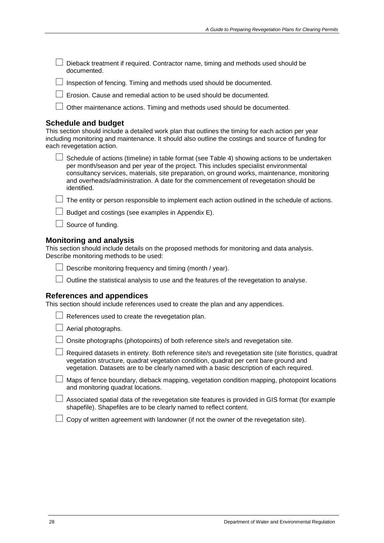$\Box$  Dieback treatment if required. Contractor name, timing and methods used should be documented.

 $\Box$  Inspection of fencing. Timing and methods used should be documented.

 $\Box$  Erosion. Cause and remedial action to be used should be documented.

Other maintenance actions. Timing and methods used should be documented.

#### **Schedule and budget**

This section should include a detailed work plan that outlines the timing for each action per year including monitoring and maintenance. It should also outline the costings and source of funding for each revegetation action.

 $\Box$  Schedule of actions (timeline) in table format (see Table 4) showing actions to be undertaken per month/season and per year of the project. This includes specialist environmental consultancy services, materials, site preparation, on ground works, maintenance, monitoring and overheads/administration. A date for the commencement of revegetation should be identified.

 $\Box$  The entity or person responsible to implement each action outlined in the schedule of actions.

 $\Box$  Budget and costings (see examples in Appendix E).

#### **Monitoring and analysis**

This section should include details on the proposed methods for monitoring and data analysis. Describe monitoring methods to be used:

 $\Box$  Describe monitoring frequency and timing (month / year).

 $\Box$  Outline the statistical analysis to use and the features of the revegetation to analyse.

#### **References and appendices**

This section should include references used to create the plan and any appendices.

| $\Box$ References used to create the revegetation plan. |
|---------------------------------------------------------|
|---------------------------------------------------------|

|  | $\Box$ Aerial photographs. |
|--|----------------------------|
|  |                            |

 $\Box$  Onsite photographs (photopoints) of both reference site/s and revegetation site.

| $\Box$ Required datasets in entirety. Both reference site/s and revegetation site (site floristics, quadrat |  |
|-------------------------------------------------------------------------------------------------------------|--|
| vegetation structure, quadrat vegetation condition, quadrat per cent bare ground and                        |  |
| vegetation. Datasets are to be clearly named with a basic description of each required.                     |  |

 $\Box$  Maps of fence boundary, dieback mapping, vegetation condition mapping, photopoint locations and monitoring quadrat locations.

 $\Box$  Associated spatial data of the revegetation site features is provided in GIS format (for example shapefile). Shapefiles are to be clearly named to reflect content.

 $\Box$  Copy of written agreement with landowner (if not the owner of the revegetation site).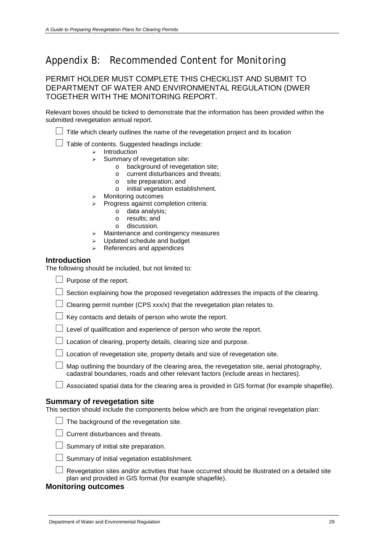## <span id="page-32-0"></span>Appendix B: Recommended Content for Monitoring

PERMIT HOLDER MUST COMPLETE THIS CHECKLIST AND SUBMIT TO DEPARTMENT OF WATER AND ENVIRONMENTAL REGULATION (DWER TOGETHER WITH THE MONITORING REPORT.

Relevant boxes should be ticked to demonstrate that the information has been provided within the submitted revegetation annual report.

 $\Box$  Title which clearly outlines the name of the revegetation project and its location

 $\Box$  Table of contents. Suggested headings include:

- $\triangleright$  Introduction
- $\triangleright$  Summary of revegetation site:
	- o background of revegetation site;
	- o current disturbances and threats;
	- o site preparation; and
	- o initial vegetation establishment.
- > Monitoring outcomes
- $\triangleright$  Progress against completion criteria:
	- o data analysis;
	- o results; and
	- o discussion.
- $\geq$  Maintenance and contingency measures
- $\triangleright$  Updated schedule and budget
- $\triangleright$  References and appendices

#### **Introduction**

The following should be included, but not limited to:

 $\Box$  Purpose of the report.

 $\Box$  Section explaining how the proposed revegetation addresses the impacts of the clearing.

- $\Box$  Clearing permit number (CPS xxx/x) that the revegetation plan relates to.
- $\Box$  Key contacts and details of person who wrote the report.
- $\Box$  Level of qualification and experience of person who wrote the report.
- $\Box$  Location of clearing, property details, clearing size and purpose.
- $\Box$  Location of revegetation site, property details and size of revegetation site.
- $\Box$  Map outlining the boundary of the clearing area, the revegetation site, aerial photography, cadastral boundaries, roads and other relevant factors (include areas in hectares).
- $\Box$  Associated spatial data for the clearing area is provided in GIS format (for example shapefile).

#### **Summary of revegetation site**

This section should include the components below which are from the original revegetation plan:

- $\Box$  The background of the revegetation site.
- □ Current disturbances and threats.
- $\Box$  Summary of initial site preparation.
- $\Box$  Summary of initial vegetation establishment.

 $\Box$  Revegetation sites and/or activities that have occurred should be illustrated on a detailed site plan and provided in GIS format (for example shapefile).

#### **Monitoring outcomes**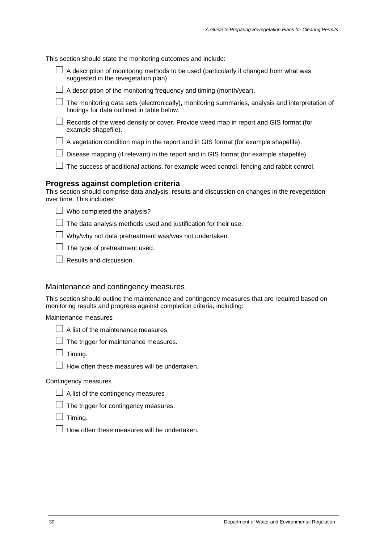This section should state the monitoring outcomes and include:

- $\Box$  A description of monitoring methods to be used (particularly if changed from what was suggested in the revegetation plan).
- $\Box$  A description of the monitoring frequency and timing (month/year).
- $\Box$  The monitoring data sets (electronically), monitoring summaries, analysis and interpretation of findings for data outlined in table below.
- $\Box$  Records of the weed density or cover. Provide weed map in report and GIS format (for example shapefile).
- $\Box$  A vegetation condition map in the report and in GIS format (for example shapefile).
- $\Box$  Disease mapping (if relevant) in the report and in GIS format (for example shapefile).
- $\Box$  The success of additional actions, for example weed control, fencing and rabbit control.

#### **Progress against completion criteria**

This section should comprise data analysis, results and discussion on changes in the revegetation over time. This includes:

 $\Box$  Who completed the analysis?

 $\Box$  The data analysis methods used and justification for their use.

 $\Box$  Why/why not data pretreatment was/was not undertaken.

 $\Box$  The type of pretreatment used.

 $\Box$  Results and discussion.

#### Maintenance and contingency measures

This section should outline the maintenance and contingency measures that are required based on monitoring results and progress against completion criteria, including:

Maintenance measures



| $\Box$ The trigger for maintenance measures. |  |
|----------------------------------------------|--|
|                                              |  |

 $\Box$  Timing.

 $\Box$  How often these measures will be undertaken.

#### Contingency measures

 $\Box$  A list of the contingency measures

 $\Box$  The trigger for contingency measures.

 $\Box$  Timing.

 $\Box$  How often these measures will be undertaken.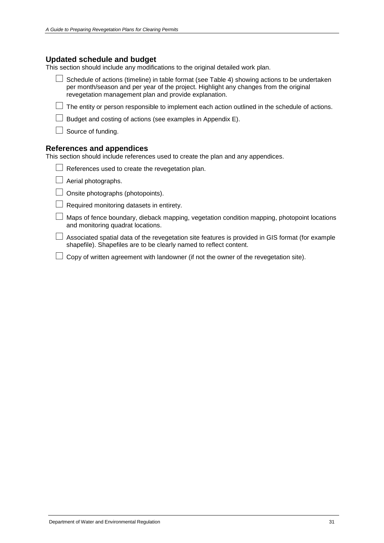#### **Updated schedule and budget**

This section should include any modifications to the original detailed work plan.

 $\Box$  Schedule of actions (timeline) in table format (see Table 4) showing actions to be undertaken per month/season and per year of the project. Highlight any changes from the original revegetation management plan and provide explanation.

 $\Box$  The entity or person responsible to implement each action outlined in the schedule of actions.

 $\Box$  Budget and costing of actions (see examples in Appendix E).

 $\Box$  Source of funding.

#### **References and appendices**

This section should include references used to create the plan and any appendices.

|  | $\Box$ References used to create the revegetation plan. |  |  |
|--|---------------------------------------------------------|--|--|
|  |                                                         |  |  |

- $\Box$  Aerial photographs.
- $\Box$  Onsite photographs (photopoints).
- $\Box$  Required monitoring datasets in entirety.

 $\Box$  Maps of fence boundary, dieback mapping, vegetation condition mapping, photopoint locations and monitoring quadrat locations.

 $\Box$  Associated spatial data of the revegetation site features is provided in GIS format (for example shapefile). Shapefiles are to be clearly named to reflect content.

 $\Box$  Copy of written agreement with landowner (if not the owner of the revegetation site).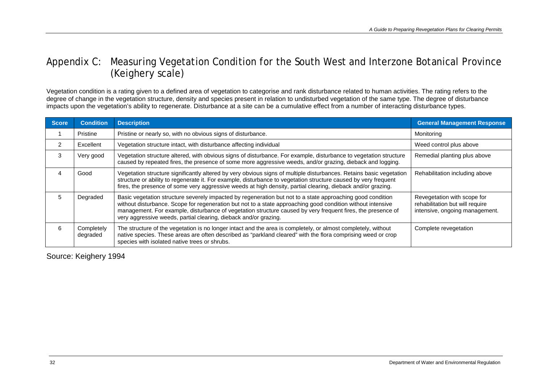## Appendix C: Measuring Vegetation Condition for the South West and Interzone Botanical Province (Keighery scale)

Vegetation condition is a rating given to a defined area of vegetation to categorise and rank disturbance related to human activities. The rating refers to the degree of change in the vegetation structure, density and species present in relation to undisturbed vegetation of the same type. The degree of disturbance impacts upon the vegetation's ability to regenerate. Disturbance at a site can be a cumulative effect from a number of interacting disturbance types.

| <b>Score</b> | <b>Condition</b>       | <b>Description</b>                                                                                                                                                                                                                                                                                                                                                                                           | <b>General Management Response</b>                                                               |
|--------------|------------------------|--------------------------------------------------------------------------------------------------------------------------------------------------------------------------------------------------------------------------------------------------------------------------------------------------------------------------------------------------------------------------------------------------------------|--------------------------------------------------------------------------------------------------|
|              | Pristine               | Pristine or nearly so, with no obvious signs of disturbance.                                                                                                                                                                                                                                                                                                                                                 | Monitoring                                                                                       |
|              | Excellent              | Vegetation structure intact, with disturbance affecting individual                                                                                                                                                                                                                                                                                                                                           | Weed control plus above                                                                          |
| 3            | Very good              | Vegetation structure altered, with obvious signs of disturbance. For example, disturbance to vegetation structure<br>caused by repeated fires, the presence of some more aggressive weeds, and/or grazing, dieback and logging.                                                                                                                                                                              | Remedial planting plus above                                                                     |
|              | Good                   | Vegetation structure significantly altered by very obvious signs of multiple disturbances. Retains basic vegetation<br>structure or ability to regenerate it. For example, disturbance to vegetation structure caused by very frequent<br>fires, the presence of some very aggressive weeds at high density, partial clearing, dieback and/or grazing.                                                       | Rehabilitation including above                                                                   |
|              | Degraded               | Basic vegetation structure severely impacted by regeneration but not to a state approaching good condition<br>without disturbance. Scope for regeneration but not to a state approaching good condition without intensive<br>management. For example, disturbance of vegetation structure caused by very frequent fires, the presence of<br>very aggressive weeds, partial clearing, dieback and/or grazing. | Revegetation with scope for<br>rehabilitation but will require<br>intensive, ongoing management. |
|              | Completely<br>degraded | The structure of the vegetation is no longer intact and the area is completely, or almost completely, without<br>native species. These areas are often described as "parkland cleared" with the flora comprising weed or crop<br>species with isolated native trees or shrubs.                                                                                                                               | Complete revegetation                                                                            |

<span id="page-35-0"></span>Source: Keighery 1994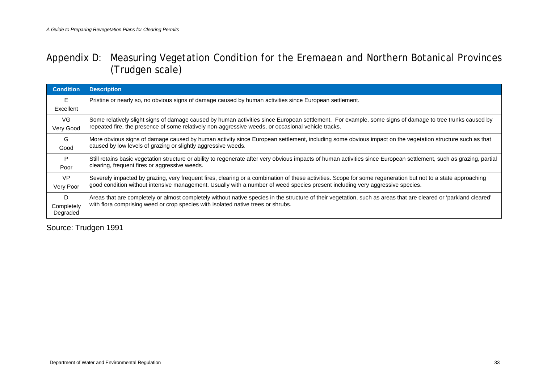## Appendix D: Measuring Vegetation Condition for the Eremaean and Northern Botanical Provinces (Trudgen scale)

| <b>Condition</b>       | <b>Description</b>                                                                                                                                                   |  |
|------------------------|----------------------------------------------------------------------------------------------------------------------------------------------------------------------|--|
| E                      | Pristine or nearly so, no obvious signs of damage caused by human activities since European settlement.                                                              |  |
| Excellent              |                                                                                                                                                                      |  |
| VG.                    | Some relatively slight signs of damage caused by human activities since European settlement. For example, some signs of damage to tree trunks caused by              |  |
| Very Good              | repeated fire, the presence of some relatively non-aggressive weeds, or occasional vehicle tracks.                                                                   |  |
| G                      | More obvious signs of damage caused by human activity since European settlement, including some obvious impact on the vegetation structure such as that              |  |
| Good                   | caused by low levels of grazing or slightly aggressive weeds.                                                                                                        |  |
| P                      | Still retains basic vegetation structure or ability to regenerate after very obvious impacts of human activities since European settlement, such as grazing, partial |  |
| Poor                   | clearing, frequent fires or aggressive weeds.                                                                                                                        |  |
| <b>VP</b>              | Severely impacted by grazing, very frequent fires, clearing or a combination of these activities. Scope for some regeneration but not to a state approaching         |  |
| Very Poor              | good condition without intensive management. Usually with a number of weed species present including very aggressive species.                                        |  |
| D                      | Areas that are completely or almost completely without native species in the structure of their vegetation, such as areas that are cleared or 'parkland cleared'     |  |
| Completely<br>Degraded | with flora comprising weed or crop species with isolated native trees or shrubs.                                                                                     |  |

<span id="page-36-0"></span>Source: Trudgen 1991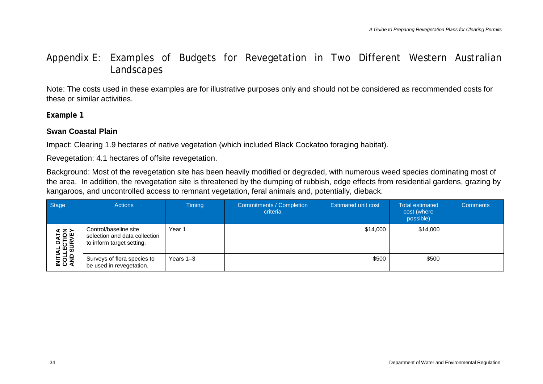## Appendix E: Examples of Budgets for Revegetation in Two Different Western Australian Landscapes

Note: The costs used in these examples are for illustrative purposes only and should not be considered as recommended costs for these or similar activities.

**Example 1**

### **Swan Coastal Plain**

Impact: Clearing 1.9 hectares of native vegetation (which included Black Cockatoo foraging habitat).

Revegetation: 4.1 hectares of offsite revegetation.

Background: Most of the revegetation site has been heavily modified or degraded, with numerous weed species dominating most of the area. In addition, the revegetation site is threatened by the dumping of rubbish, edge effects from residential gardens, grazing by kangaroos, and uncontrolled access to remnant vegetation, feral animals and, potentially, dieback.

<span id="page-37-1"></span><span id="page-37-0"></span>

| Stage                                             | <b>Actions</b>                                                                      | <b>Timing</b> | Commitments / Completion<br>criteria | <b>Estimated unit cost</b> | <b>Total estimated</b><br>cost (where<br>possible) | <b>Comments</b> |
|---------------------------------------------------|-------------------------------------------------------------------------------------|---------------|--------------------------------------|----------------------------|----------------------------------------------------|-----------------|
| <b>INITIAL DATA<br/>COLLECTION<br/>AND SURVEY</b> | Control/baseline site<br>selection and data collection<br>to inform target setting. | Year 1        |                                      | \$14,000                   | \$14,000                                           |                 |
|                                                   | Surveys of flora species to<br>be used in revegetation.                             | Years $1-3$   |                                      | \$500                      | \$500                                              |                 |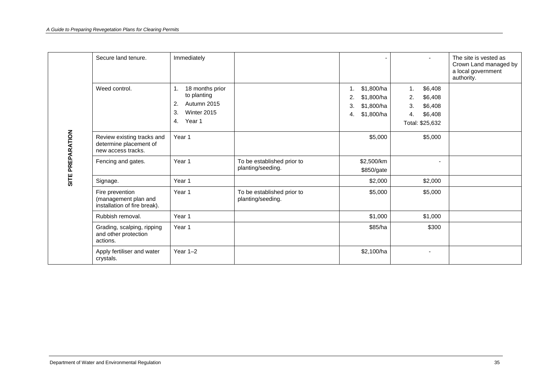|                  | Secure land tenure.                                                        | Immediately                                                                                 |                                                 | ۰                                                                         | $\sim$                                                                              | The site is vested as<br>Crown Land managed by<br>a local government<br>authority. |
|------------------|----------------------------------------------------------------------------|---------------------------------------------------------------------------------------------|-------------------------------------------------|---------------------------------------------------------------------------|-------------------------------------------------------------------------------------|------------------------------------------------------------------------------------|
|                  | Weed control.                                                              | 1. 18 months prior<br>to planting<br>Autumn 2015<br>2.<br>Winter 2015<br>3.<br>Year 1<br>4. |                                                 | 1. \$1,800/ha<br>\$1,800/ha<br>2.<br>\$1,800/ha<br>3.<br>\$1,800/ha<br>4. | \$6,408<br>1.<br>2.<br>\$6,408<br>3.<br>\$6,408<br>\$6,408<br>4.<br>Total: \$25,632 |                                                                                    |
| SITE PREPARATION | Review existing tracks and<br>determine placement of<br>new access tracks. | Year 1                                                                                      |                                                 | \$5,000                                                                   | \$5,000                                                                             |                                                                                    |
|                  | Fencing and gates.                                                         | Year 1                                                                                      | To be established prior to<br>planting/seeding. | \$2,500/km<br>\$850/gate                                                  |                                                                                     |                                                                                    |
|                  | Signage.                                                                   | Year 1                                                                                      |                                                 | \$2,000                                                                   | \$2,000                                                                             |                                                                                    |
|                  | Fire prevention<br>(management plan and<br>installation of fire break).    | Year 1                                                                                      | To be established prior to<br>planting/seeding. | \$5,000                                                                   | \$5,000                                                                             |                                                                                    |
|                  | Rubbish removal.                                                           | Year 1                                                                                      |                                                 | \$1,000                                                                   | \$1,000                                                                             |                                                                                    |
|                  | Grading, scalping, ripping<br>and other protection<br>actions.             | Year 1                                                                                      |                                                 | \$85/ha                                                                   | \$300                                                                               |                                                                                    |
|                  | Apply fertiliser and water<br>crystals.                                    | Year $1-2$                                                                                  |                                                 | \$2,100/ha                                                                | $\sim$                                                                              |                                                                                    |
|                  |                                                                            |                                                                                             |                                                 |                                                                           |                                                                                     |                                                                                    |
|                  | Department of Water and Environmental Regulation                           |                                                                                             |                                                 |                                                                           |                                                                                     | 35                                                                                 |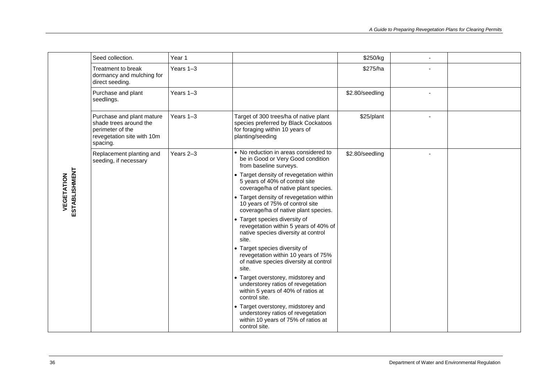|                             | Seed collection.                                                                                                  | Year 1    |                                                                                                                                       | \$250/kg        |                                                  |  |
|-----------------------------|-------------------------------------------------------------------------------------------------------------------|-----------|---------------------------------------------------------------------------------------------------------------------------------------|-----------------|--------------------------------------------------|--|
|                             | Treatment to break<br>dormancy and mulching for<br>direct seeding.                                                | Years 1-3 |                                                                                                                                       | \$275/ha        |                                                  |  |
|                             | Purchase and plant<br>seedlings.                                                                                  | Years 1-3 |                                                                                                                                       | \$2.80/seedling |                                                  |  |
|                             | Purchase and plant mature<br>shade trees around the<br>perimeter of the<br>revegetation site with 10m<br>spacing. | Years 1-3 | Target of 300 trees/ha of native plant<br>species preferred by Black Cockatoos<br>for foraging within 10 years of<br>planting/seeding | \$25/plant      |                                                  |  |
|                             | Replacement planting and<br>seeding, if necessary                                                                 | Years 2-3 | • No reduction in areas considered to<br>be in Good or Very Good condition<br>from baseline surveys.                                  | \$2.80/seedling |                                                  |  |
|                             |                                                                                                                   |           | • Target density of revegetation within<br>5 years of 40% of control site<br>coverage/ha of native plant species.                     |                 |                                                  |  |
| ESTABLISHMENT<br>VEGETATION |                                                                                                                   |           | • Target density of revegetation within<br>10 years of 75% of control site<br>coverage/ha of native plant species.                    |                 |                                                  |  |
|                             |                                                                                                                   |           | • Target species diversity of<br>revegetation within 5 years of 40% of<br>native species diversity at control<br>site.                |                 |                                                  |  |
|                             |                                                                                                                   |           | • Target species diversity of<br>revegetation within 10 years of 75%<br>of native species diversity at control<br>site.               |                 |                                                  |  |
|                             |                                                                                                                   |           | • Target overstorey, midstorey and<br>understorey ratios of revegetation<br>within 5 years of 40% of ratios at<br>control site.       |                 |                                                  |  |
|                             |                                                                                                                   |           | • Target overstorey, midstorey and<br>understorey ratios of revegetation<br>within 10 years of 75% of ratios at<br>control site.      |                 |                                                  |  |
|                             |                                                                                                                   |           |                                                                                                                                       |                 |                                                  |  |
|                             |                                                                                                                   |           |                                                                                                                                       |                 |                                                  |  |
| 36                          |                                                                                                                   |           |                                                                                                                                       |                 | Department of Water and Environmental Regulation |  |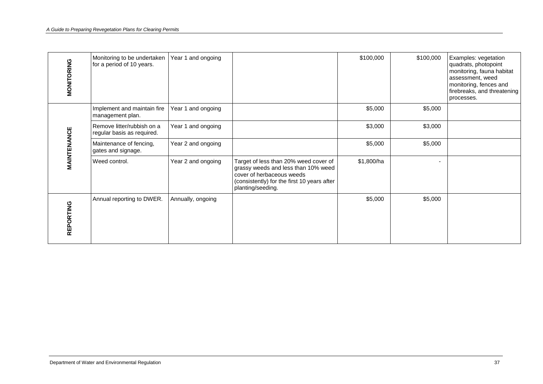| MONITORING                                             | Monitoring to be undertaken<br>for a period of 10 years. | Year 1 and ongoing |                                                                                                                                                                               | \$100,000  | \$100,000 | Examples: vegetation<br>quadrats, photopoint<br>monitoring, fauna habitat<br>assessment, weed<br>monitoring, fences and<br>firebreaks, and threatening<br>processes. |
|--------------------------------------------------------|----------------------------------------------------------|--------------------|-------------------------------------------------------------------------------------------------------------------------------------------------------------------------------|------------|-----------|----------------------------------------------------------------------------------------------------------------------------------------------------------------------|
|                                                        | Implement and maintain fire<br>management plan.          | Year 1 and ongoing |                                                                                                                                                                               | \$5,000    | \$5,000   |                                                                                                                                                                      |
|                                                        | Remove litter/rubbish on a<br>regular basis as required. | Year 1 and ongoing |                                                                                                                                                                               | \$3,000    | \$3,000   |                                                                                                                                                                      |
| MAINTENANCE                                            | Maintenance of fencing,<br>gates and signage.            | Year 2 and ongoing |                                                                                                                                                                               | \$5,000    | \$5,000   |                                                                                                                                                                      |
|                                                        | Weed control.                                            | Year 2 and ongoing | Target of less than 20% weed cover of<br>grassy weeds and less than 10% weed<br>cover of herbaceous weeds<br>(consistently) for the first 10 years after<br>planting/seeding. | \$1,800/ha |           |                                                                                                                                                                      |
| REPORTING                                              | Annual reporting to DWER.                                | Annually, ongoing  |                                                                                                                                                                               | \$5,000    | \$5,000   |                                                                                                                                                                      |
|                                                        |                                                          |                    |                                                                                                                                                                               |            |           |                                                                                                                                                                      |
|                                                        |                                                          |                    |                                                                                                                                                                               |            |           |                                                                                                                                                                      |
|                                                        |                                                          |                    |                                                                                                                                                                               |            |           |                                                                                                                                                                      |
|                                                        |                                                          |                    |                                                                                                                                                                               |            |           |                                                                                                                                                                      |
|                                                        |                                                          |                    |                                                                                                                                                                               |            |           |                                                                                                                                                                      |
| 37<br>Department of Water and Environmental Regulation |                                                          |                    |                                                                                                                                                                               |            |           |                                                                                                                                                                      |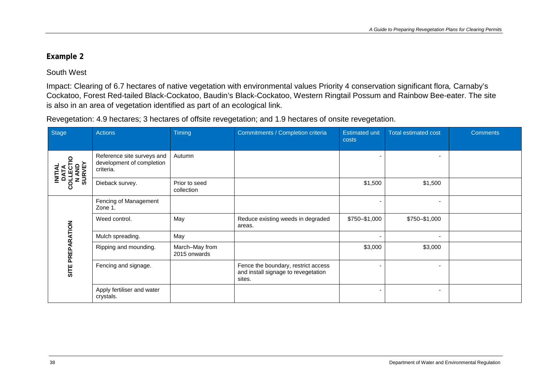### **Example 2**

### South West

Impact: Clearing of 6.7 hectares of native vegetation with environmental values Priority 4 conservation significant flora*,* Carnaby's Cockatoo, Forest Red-tailed Black-Cockatoo, Baudin's Black-Cockatoo, Western Ringtail Possum and Rainbow Bee-eater. The site is also in an area of vegetation identified as part of an ecological link.

Revegetation: 4.9 hectares; 3 hectares of offsite revegetation; and 1.9 hectares of onsite revegetation.

<span id="page-41-0"></span>

| <b>Stage</b>                                                  | <b>Actions</b>                                                       | Timing                         | Commitments / Completion criteria                                                    | <b>Estimated unit</b><br>costs | <b>Total estimated cost</b> | <b>Comments</b> |
|---------------------------------------------------------------|----------------------------------------------------------------------|--------------------------------|--------------------------------------------------------------------------------------|--------------------------------|-----------------------------|-----------------|
| <b>INITIAL<br/>DATA<br/>OLLECTI<br/>SURVEY</b><br>$\mathbf C$ | Reference site surveys and<br>development of completion<br>criteria. | Autumn                         |                                                                                      |                                |                             |                 |
|                                                               | Dieback survey.                                                      | Prior to seed<br>collection    |                                                                                      | \$1,500                        | \$1,500                     |                 |
| <b>ATION</b>                                                  | Fencing of Management<br>Zone 1.                                     |                                |                                                                                      |                                |                             |                 |
|                                                               | Weed control.                                                        | May                            | Reduce existing weeds in degraded<br>areas.                                          | \$750-\$1,000                  | \$750-\$1,000               |                 |
|                                                               | Mulch spreading.                                                     | May                            |                                                                                      |                                | $\overline{\phantom{a}}$    |                 |
| ቒ<br>EI<br>K<br>ᇎ<br>SITE                                     | Ripping and mounding.                                                | March-May from<br>2015 onwards |                                                                                      | \$3,000                        | \$3,000                     |                 |
|                                                               | Fencing and signage.                                                 |                                | Fence the boundary, restrict access<br>and install signage to revegetation<br>sites. |                                |                             |                 |
|                                                               | Apply fertiliser and water<br>crystals.                              |                                |                                                                                      |                                | ٠                           |                 |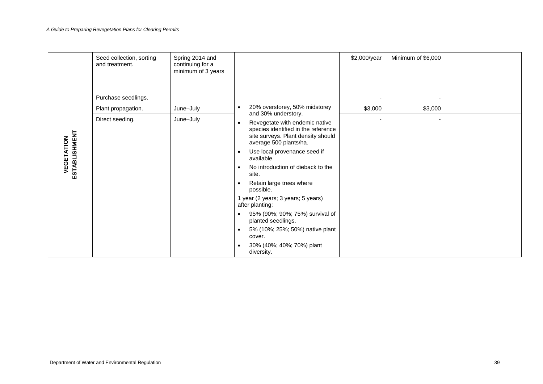|                                                        | Seed collection, sorting<br>and treatment. | Spring 2014 and<br>continuing for a<br>minimum of 3 years |                                                                                                                                                    | \$2,000/year | Minimum of \$6,000 |  |
|--------------------------------------------------------|--------------------------------------------|-----------------------------------------------------------|----------------------------------------------------------------------------------------------------------------------------------------------------|--------------|--------------------|--|
|                                                        | Purchase seedlings.                        |                                                           |                                                                                                                                                    |              | $\blacksquare$     |  |
|                                                        | Plant propagation.                         | June-July                                                 | 20% overstorey, 50% midstorey<br>$\bullet$<br>and 30% understory.                                                                                  | \$3,000      | \$3,000            |  |
|                                                        | June-July<br>Direct seeding.               |                                                           | Revegetate with endemic native<br>$\bullet$<br>species identified in the reference<br>site surveys. Plant density should<br>average 500 plants/ha. |              | $\sim$             |  |
|                                                        |                                            |                                                           | Use local provenance seed if<br>$\bullet$<br>available.                                                                                            |              |                    |  |
| ESTABLISHMENT<br>VEGETATION                            |                                            |                                                           | No introduction of dieback to the<br>$\bullet$<br>site.                                                                                            |              |                    |  |
|                                                        |                                            |                                                           | Retain large trees where<br>$\bullet$<br>possible.                                                                                                 |              |                    |  |
|                                                        |                                            |                                                           | 1 year (2 years; 3 years; 5 years)<br>after planting:                                                                                              |              |                    |  |
|                                                        |                                            |                                                           | 95% (90%; 90%; 75%) survival of<br>$\bullet$<br>planted seedlings.                                                                                 |              |                    |  |
|                                                        |                                            |                                                           | 5% (10%; 25%; 50%) native plant<br>$\bullet$<br>cover.                                                                                             |              |                    |  |
|                                                        |                                            |                                                           | 30% (40%; 40%; 70%) plant<br>$\bullet$<br>diversity.                                                                                               |              |                    |  |
|                                                        |                                            |                                                           |                                                                                                                                                    |              |                    |  |
|                                                        |                                            |                                                           |                                                                                                                                                    |              |                    |  |
| Department of Water and Environmental Regulation<br>39 |                                            |                                                           |                                                                                                                                                    |              |                    |  |